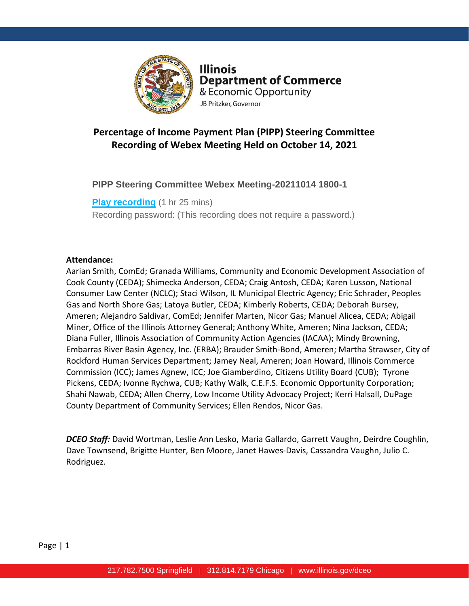

**Illinois Department of Commerce** & Economic Opportunity JB Pritzker, Governor

# **Percentage of Income Payment Plan (PIPP) Steering Committee Recording of Webex Meeting Held on October 14, 2021**

# **PIPP Steering Committee Webex Meeting-20211014 1800-1**

**[Play recording](https://illinois2.webex.com/recordingservice/sites/illinois2/recording/playback/851d18180f46103abdb70050568f09a5)** (1 hr 25 mins) Recording password: (This recording does not require a password.)

### **Attendance:**

Aarian Smith, ComEd; Granada Williams, Community and Economic Development Association of Cook County (CEDA); Shimecka Anderson, CEDA; Craig Antosh, CEDA; Karen Lusson, National Consumer Law Center (NCLC); Staci Wilson, IL Municipal Electric Agency; Eric Schrader, Peoples Gas and North Shore Gas; Latoya Butler, CEDA; Kimberly Roberts, CEDA; Deborah Bursey, Ameren; Alejandro Saldivar, ComEd; Jennifer Marten, Nicor Gas; Manuel Alicea, CEDA; Abigail Miner, Office of the Illinois Attorney General; Anthony White, Ameren; Nina Jackson, CEDA; Diana Fuller, Illinois Association of Community Action Agencies (IACAA); Mindy Browning, Embarras River Basin Agency, Inc. (ERBA); Brauder Smith-Bond, Ameren; Martha Strawser, City of Rockford Human Services Department; Jamey Neal, Ameren; Joan Howard, Illinois Commerce Commission (ICC); James Agnew, ICC; Joe Giamberdino, Citizens Utility Board (CUB); Tyrone Pickens, CEDA; Ivonne Rychwa, CUB; Kathy Walk, C.E.F.S. Economic Opportunity Corporation; Shahi Nawab, CEDA; Allen Cherry, Low Income Utility Advocacy Project; Kerri Halsall, DuPage County Department of Community Services; Ellen Rendos, Nicor Gas.

*DCEO Staff:* David Wortman, Leslie Ann Lesko, Maria Gallardo, Garrett Vaughn, Deirdre Coughlin, Dave Townsend, Brigitte Hunter, Ben Moore, Janet Hawes-Davis, Cassandra Vaughn, Julio C. Rodriguez.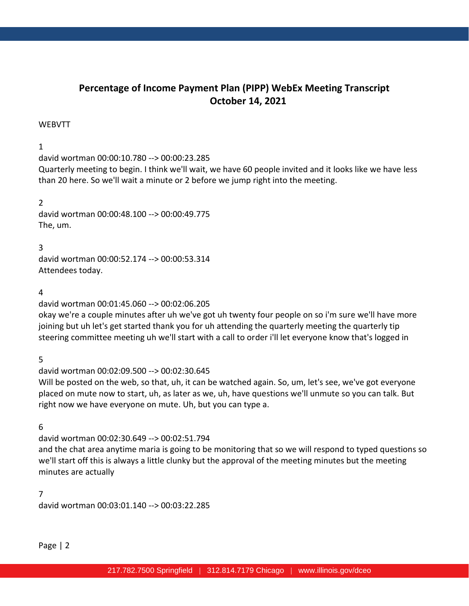# **Percentage of Income Payment Plan (PIPP) WebEx Meeting Transcript October 14, 2021**

#### WEBVTT

### 1

david wortman 00:00:10.780 --> 00:00:23.285

Quarterly meeting to begin. I think we'll wait, we have 60 people invited and it looks like we have less than 20 here. So we'll wait a minute or 2 before we jump right into the meeting.

2 david wortman 00:00:48.100 --> 00:00:49.775 The, um.

3

david wortman 00:00:52.174 --> 00:00:53.314 Attendees today.

#### 4

david wortman 00:01:45.060 --> 00:02:06.205

okay we're a couple minutes after uh we've got uh twenty four people on so i'm sure we'll have more joining but uh let's get started thank you for uh attending the quarterly meeting the quarterly tip steering committee meeting uh we'll start with a call to order i'll let everyone know that's logged in

5

david wortman 00:02:09.500 --> 00:02:30.645

Will be posted on the web, so that, uh, it can be watched again. So, um, let's see, we've got everyone placed on mute now to start, uh, as later as we, uh, have questions we'll unmute so you can talk. But right now we have everyone on mute. Uh, but you can type a.

6

david wortman 00:02:30.649 --> 00:02:51.794 and the chat area anytime maria is going to be monitoring that so we will respond to typed questions so we'll start off this is always a little clunky but the approval of the meeting minutes but the meeting minutes are actually

7 david wortman 00:03:01.140 --> 00:03:22.285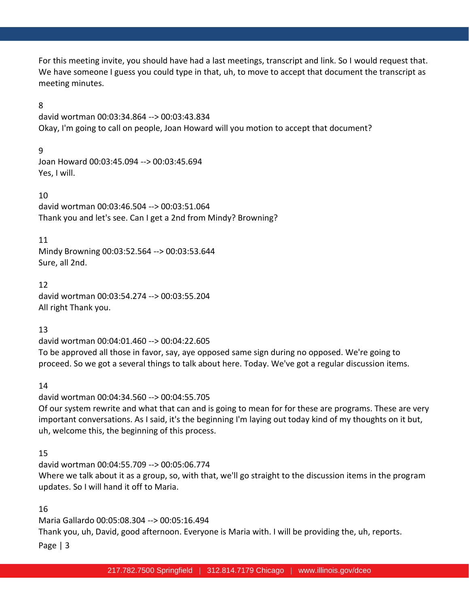For this meeting invite, you should have had a last meetings, transcript and link. So I would request that. We have someone I guess you could type in that, uh, to move to accept that document the transcript as meeting minutes.

### 8

david wortman 00:03:34.864 --> 00:03:43.834 Okay, I'm going to call on people, Joan Howard will you motion to accept that document?

# 9

Joan Howard 00:03:45.094 --> 00:03:45.694 Yes, I will.

### 10

david wortman 00:03:46.504 --> 00:03:51.064 Thank you and let's see. Can I get a 2nd from Mindy? Browning?

### 11

Mindy Browning 00:03:52.564 --> 00:03:53.644 Sure, all 2nd.

### 12

david wortman 00:03:54.274 --> 00:03:55.204 All right Thank you.

# 13

david wortman 00:04:01.460 --> 00:04:22.605 To be approved all those in favor, say, aye opposed same sign during no opposed. We're going to proceed. So we got a several things to talk about here. Today. We've got a regular discussion items.

# 14

david wortman 00:04:34.560 --> 00:04:55.705 Of our system rewrite and what that can and is going to mean for for these are programs. These are very important conversations. As I said, it's the beginning I'm laying out today kind of my thoughts on it but, uh, welcome this, the beginning of this process.

# 15

david wortman 00:04:55.709 --> 00:05:06.774 Where we talk about it as a group, so, with that, we'll go straight to the discussion items in the program updates. So I will hand it off to Maria.

# 16

Page | 3 Maria Gallardo 00:05:08.304 --> 00:05:16.494 Thank you, uh, David, good afternoon. Everyone is Maria with. I will be providing the, uh, reports.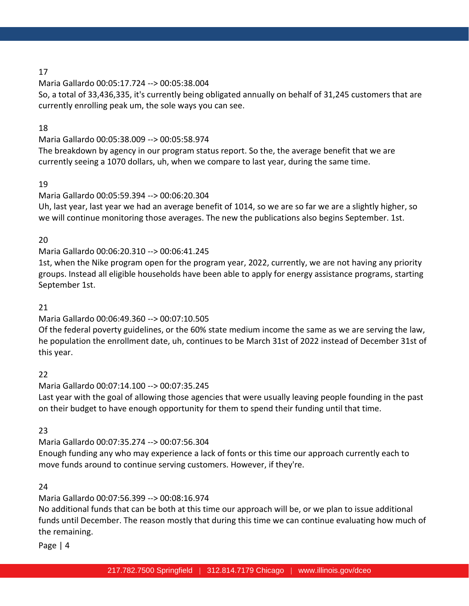Maria Gallardo 00:05:17.724 --> 00:05:38.004

So, a total of 33,436,335, it's currently being obligated annually on behalf of 31,245 customers that are currently enrolling peak um, the sole ways you can see.

# 18

Maria Gallardo 00:05:38.009 --> 00:05:58.974

The breakdown by agency in our program status report. So the, the average benefit that we are currently seeing a 1070 dollars, uh, when we compare to last year, during the same time.

# 19

# Maria Gallardo 00:05:59.394 --> 00:06:20.304

Uh, last year, last year we had an average benefit of 1014, so we are so far we are a slightly higher, so we will continue monitoring those averages. The new the publications also begins September. 1st.

# 20

# Maria Gallardo 00:06:20.310 --> 00:06:41.245

1st, when the Nike program open for the program year, 2022, currently, we are not having any priority groups. Instead all eligible households have been able to apply for energy assistance programs, starting September 1st.

# 21

# Maria Gallardo 00:06:49.360 --> 00:07:10.505

Of the federal poverty guidelines, or the 60% state medium income the same as we are serving the law, he population the enrollment date, uh, continues to be March 31st of 2022 instead of December 31st of this year.

# 22

Maria Gallardo 00:07:14.100 --> 00:07:35.245 Last year with the goal of allowing those agencies that were usually leaving people founding in the past on their budget to have enough opportunity for them to spend their funding until that time.

# 23

# Maria Gallardo 00:07:35.274 --> 00:07:56.304

Enough funding any who may experience a lack of fonts or this time our approach currently each to move funds around to continue serving customers. However, if they're.

# 24

# Maria Gallardo 00:07:56.399 --> 00:08:16.974

No additional funds that can be both at this time our approach will be, or we plan to issue additional funds until December. The reason mostly that during this time we can continue evaluating how much of the remaining.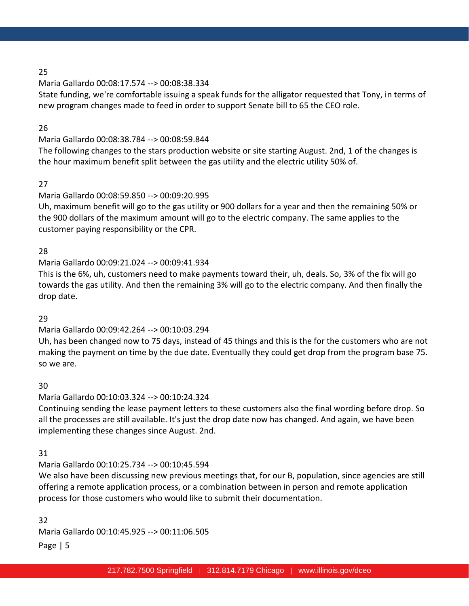# Maria Gallardo 00:08:17.574 --> 00:08:38.334

State funding, we're comfortable issuing a speak funds for the alligator requested that Tony, in terms of new program changes made to feed in order to support Senate bill to 65 the CEO role.

# 26

# Maria Gallardo 00:08:38.784 --> 00:08:59.844

The following changes to the stars production website or site starting August. 2nd, 1 of the changes is the hour maximum benefit split between the gas utility and the electric utility 50% of.

# 27

# Maria Gallardo 00:08:59.850 --> 00:09:20.995

Uh, maximum benefit will go to the gas utility or 900 dollars for a year and then the remaining 50% or the 900 dollars of the maximum amount will go to the electric company. The same applies to the customer paying responsibility or the CPR.

# 28

# Maria Gallardo 00:09:21.024 --> 00:09:41.934

This is the 6%, uh, customers need to make payments toward their, uh, deals. So, 3% of the fix will go towards the gas utility. And then the remaining 3% will go to the electric company. And then finally the drop date.

# 29

# Maria Gallardo 00:09:42.264 --> 00:10:03.294

Uh, has been changed now to 75 days, instead of 45 things and this is the for the customers who are not making the payment on time by the due date. Eventually they could get drop from the program base 75. so we are.

# 30

# Maria Gallardo 00:10:03.324 --> 00:10:24.324

Continuing sending the lease payment letters to these customers also the final wording before drop. So all the processes are still available. It's just the drop date now has changed. And again, we have been implementing these changes since August. 2nd.

# 31

# Maria Gallardo 00:10:25.734 --> 00:10:45.594

We also have been discussing new previous meetings that, for our B, population, since agencies are still offering a remote application process, or a combination between in person and remote application process for those customers who would like to submit their documentation.

# 32

Maria Gallardo 00:10:45.925 --> 00:11:06.505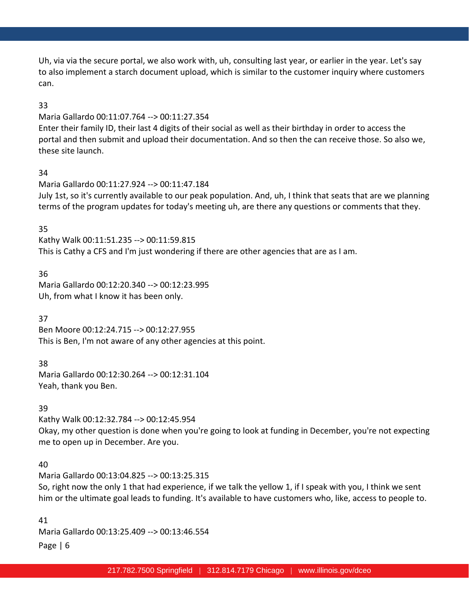Uh, via via the secure portal, we also work with, uh, consulting last year, or earlier in the year. Let's say to also implement a starch document upload, which is similar to the customer inquiry where customers can.

### 33

#### Maria Gallardo 00:11:07.764 --> 00:11:27.354

Enter their family ID, their last 4 digits of their social as well as their birthday in order to access the portal and then submit and upload their documentation. And so then the can receive those. So also we, these site launch.

### 34

Maria Gallardo 00:11:27.924 --> 00:11:47.184 July 1st, so it's currently available to our peak population. And, uh, I think that seats that are we planning terms of the program updates for today's meeting uh, are there any questions or comments that they.

### 35

Kathy Walk 00:11:51.235 --> 00:11:59.815 This is Cathy a CFS and I'm just wondering if there are other agencies that are as I am.

### 36

Maria Gallardo 00:12:20.340 --> 00:12:23.995 Uh, from what I know it has been only.

### 37

Ben Moore 00:12:24.715 --> 00:12:27.955 This is Ben, I'm not aware of any other agencies at this point.

### 38

Maria Gallardo 00:12:30.264 --> 00:12:31.104 Yeah, thank you Ben.

### 39

Kathy Walk 00:12:32.784 --> 00:12:45.954 Okay, my other question is done when you're going to look at funding in December, you're not expecting me to open up in December. Are you.

### 40

Maria Gallardo 00:13:04.825 --> 00:13:25.315 So, right now the only 1 that had experience, if we talk the yellow 1, if I speak with you, I think we sent him or the ultimate goal leads to funding. It's available to have customers who, like, access to people to.

Page | 6 41 Maria Gallardo 00:13:25.409 --> 00:13:46.554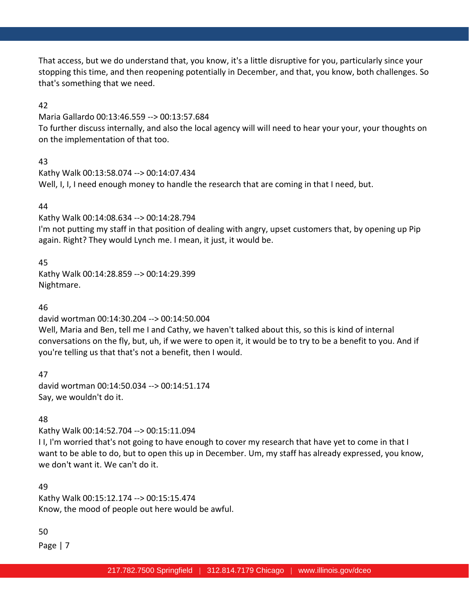That access, but we do understand that, you know, it's a little disruptive for you, particularly since your stopping this time, and then reopening potentially in December, and that, you know, both challenges. So that's something that we need.

### 42

Maria Gallardo 00:13:46.559 --> 00:13:57.684

To further discuss internally, and also the local agency will will need to hear your your, your thoughts on on the implementation of that too.

# 43

Kathy Walk 00:13:58.074 --> 00:14:07.434 Well, I, I, I need enough money to handle the research that are coming in that I need, but.

# 44

Kathy Walk 00:14:08.634 --> 00:14:28.794

I'm not putting my staff in that position of dealing with angry, upset customers that, by opening up Pip again. Right? They would Lynch me. I mean, it just, it would be.

# 45

Kathy Walk 00:14:28.859 --> 00:14:29.399 Nightmare.

# 46

david wortman 00:14:30.204 --> 00:14:50.004

Well, Maria and Ben, tell me I and Cathy, we haven't talked about this, so this is kind of internal conversations on the fly, but, uh, if we were to open it, it would be to try to be a benefit to you. And if you're telling us that that's not a benefit, then I would.

47 david wortman 00:14:50.034 --> 00:14:51.174 Say, we wouldn't do it.

# 48

Kathy Walk 00:14:52.704 --> 00:15:11.094

I I, I'm worried that's not going to have enough to cover my research that have yet to come in that I want to be able to do, but to open this up in December. Um, my staff has already expressed, you know, we don't want it. We can't do it.

# 49

Kathy Walk 00:15:12.174 --> 00:15:15.474 Know, the mood of people out here would be awful.

# 50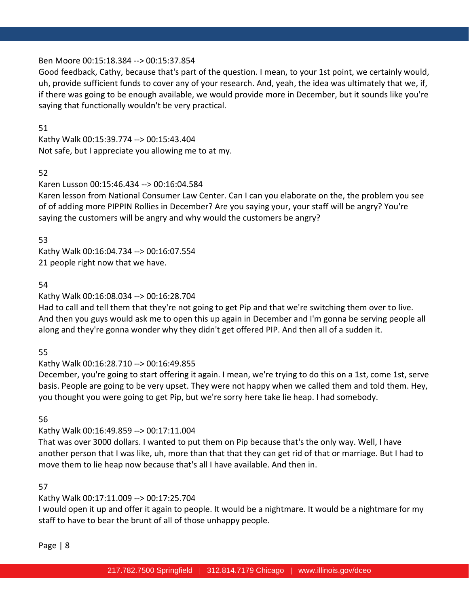### Ben Moore 00:15:18.384 --> 00:15:37.854

Good feedback, Cathy, because that's part of the question. I mean, to your 1st point, we certainly would, uh, provide sufficient funds to cover any of your research. And, yeah, the idea was ultimately that we, if, if there was going to be enough available, we would provide more in December, but it sounds like you're saying that functionally wouldn't be very practical.

### 51

Kathy Walk 00:15:39.774 --> 00:15:43.404 Not safe, but I appreciate you allowing me to at my.

# 52

### Karen Lusson 00:15:46.434 --> 00:16:04.584

Karen lesson from National Consumer Law Center. Can I can you elaborate on the, the problem you see of of adding more PIPPIN Rollies in December? Are you saying your, your staff will be angry? You're saying the customers will be angry and why would the customers be angry?

53

Kathy Walk 00:16:04.734 --> 00:16:07.554 21 people right now that we have.

### 54

# Kathy Walk 00:16:08.034 --> 00:16:28.704

Had to call and tell them that they're not going to get Pip and that we're switching them over to live. And then you guys would ask me to open this up again in December and I'm gonna be serving people all along and they're gonna wonder why they didn't get offered PIP. And then all of a sudden it.

# 55

# Kathy Walk 00:16:28.710 --> 00:16:49.855

December, you're going to start offering it again. I mean, we're trying to do this on a 1st, come 1st, serve basis. People are going to be very upset. They were not happy when we called them and told them. Hey, you thought you were going to get Pip, but we're sorry here take lie heap. I had somebody.

### 56

# Kathy Walk 00:16:49.859 --> 00:17:11.004

That was over 3000 dollars. I wanted to put them on Pip because that's the only way. Well, I have another person that I was like, uh, more than that that they can get rid of that or marriage. But I had to move them to lie heap now because that's all I have available. And then in.

### 57

# Kathy Walk 00:17:11.009 --> 00:17:25.704

I would open it up and offer it again to people. It would be a nightmare. It would be a nightmare for my staff to have to bear the brunt of all of those unhappy people.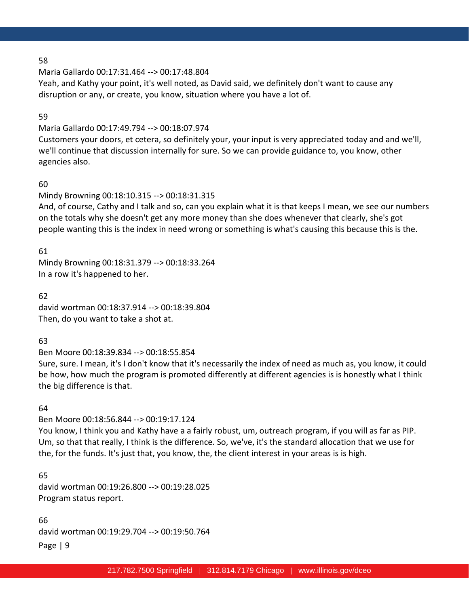Maria Gallardo 00:17:31.464 --> 00:17:48.804

Yeah, and Kathy your point, it's well noted, as David said, we definitely don't want to cause any disruption or any, or create, you know, situation where you have a lot of.

#### 59

### Maria Gallardo 00:17:49.794 --> 00:18:07.974

Customers your doors, et cetera, so definitely your, your input is very appreciated today and and we'll, we'll continue that discussion internally for sure. So we can provide guidance to, you know, other agencies also.

### 60

# Mindy Browning 00:18:10.315 --> 00:18:31.315

And, of course, Cathy and I talk and so, can you explain what it is that keeps I mean, we see our numbers on the totals why she doesn't get any more money than she does whenever that clearly, she's got people wanting this is the index in need wrong or something is what's causing this because this is the.

61

Mindy Browning 00:18:31.379 --> 00:18:33.264 In a row it's happened to her.

62 david wortman 00:18:37.914 --> 00:18:39.804 Then, do you want to take a shot at.

# 63

Ben Moore 00:18:39.834 --> 00:18:55.854

Sure, sure. I mean, it's I don't know that it's necessarily the index of need as much as, you know, it could be how, how much the program is promoted differently at different agencies is is honestly what I think the big difference is that.

### 64

Ben Moore 00:18:56.844 --> 00:19:17.124

You know, I think you and Kathy have a a fairly robust, um, outreach program, if you will as far as PIP. Um, so that that really, I think is the difference. So, we've, it's the standard allocation that we use for the, for the funds. It's just that, you know, the, the client interest in your areas is is high.

65 david wortman 00:19:26.800 --> 00:19:28.025 Program status report.

Page | 9 66 david wortman 00:19:29.704 --> 00:19:50.764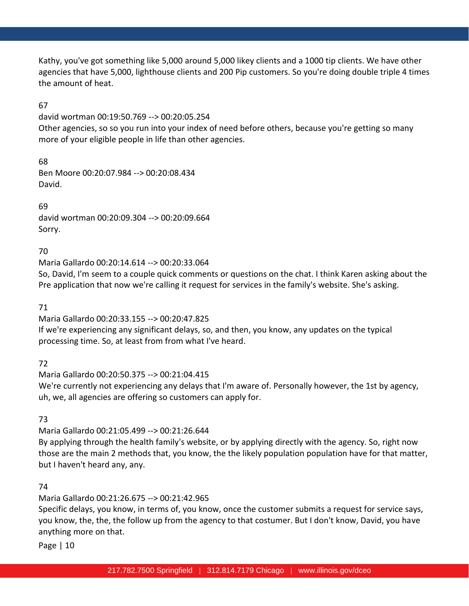Kathy, you've got something like 5,000 around 5,000 likey clients and a 1000 tip clients. We have other agencies that have 5,000, lighthouse clients and 200 Pip customers. So you're doing double triple 4 times the amount of heat.

# 67

david wortman 00:19:50.769 --> 00:20:05.254

Other agencies, so so you run into your index of need before others, because you're getting so many more of your eligible people in life than other agencies.

68

Ben Moore 00:20:07.984 --> 00:20:08.434 David.

69

david wortman 00:20:09.304 --> 00:20:09.664 Sorry.

70

Maria Gallardo 00:20:14.614 --> 00:20:33.064

So, David, I'm seem to a couple quick comments or questions on the chat. I think Karen asking about the Pre application that now we're calling it request for services in the family's website. She's asking.

71

Maria Gallardo 00:20:33.155 --> 00:20:47.825 If we're experiencing any significant delays, so, and then, you know, any updates on the typical processing time. So, at least from from what I've heard.

72

Maria Gallardo 00:20:50.375 --> 00:21:04.415 We're currently not experiencing any delays that I'm aware of. Personally however, the 1st by agency, uh, we, all agencies are offering so customers can apply for.

73

Maria Gallardo 00:21:05.499 --> 00:21:26.644

By applying through the health family's website, or by applying directly with the agency. So, right now those are the main 2 methods that, you know, the the likely population population have for that matter, but I haven't heard any, any.

74

Maria Gallardo 00:21:26.675 --> 00:21:42.965

Specific delays, you know, in terms of, you know, once the customer submits a request for service says, you know, the, the, the follow up from the agency to that costumer. But I don't know, David, you have anything more on that.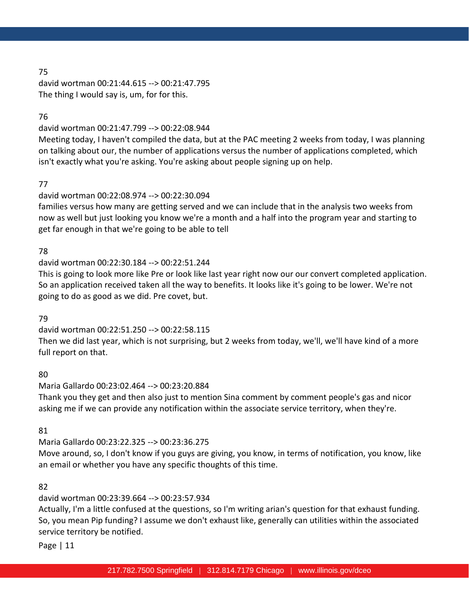david wortman 00:21:44.615 --> 00:21:47.795 The thing I would say is, um, for for this.

### 76

david wortman 00:21:47.799 --> 00:22:08.944

Meeting today, I haven't compiled the data, but at the PAC meeting 2 weeks from today, I was planning on talking about our, the number of applications versus the number of applications completed, which isn't exactly what you're asking. You're asking about people signing up on help.

# 77

# david wortman 00:22:08.974 --> 00:22:30.094

families versus how many are getting served and we can include that in the analysis two weeks from now as well but just looking you know we're a month and a half into the program year and starting to get far enough in that we're going to be able to tell

# 78

# david wortman 00:22:30.184 --> 00:22:51.244

This is going to look more like Pre or look like last year right now our our convert completed application. So an application received taken all the way to benefits. It looks like it's going to be lower. We're not going to do as good as we did. Pre covet, but.

# 79

david wortman 00:22:51.250 --> 00:22:58.115 Then we did last year, which is not surprising, but 2 weeks from today, we'll, we'll have kind of a more full report on that.

# 80

Maria Gallardo 00:23:02.464 --> 00:23:20.884 Thank you they get and then also just to mention Sina comment by comment people's gas and nicor asking me if we can provide any notification within the associate service territory, when they're.

# 81

Maria Gallardo 00:23:22.325 --> 00:23:36.275 Move around, so, I don't know if you guys are giving, you know, in terms of notification, you know, like

an email or whether you have any specific thoughts of this time.

# 82

# david wortman 00:23:39.664 --> 00:23:57.934

Actually, I'm a little confused at the questions, so I'm writing arian's question for that exhaust funding. So, you mean Pip funding? I assume we don't exhaust like, generally can utilities within the associated service territory be notified.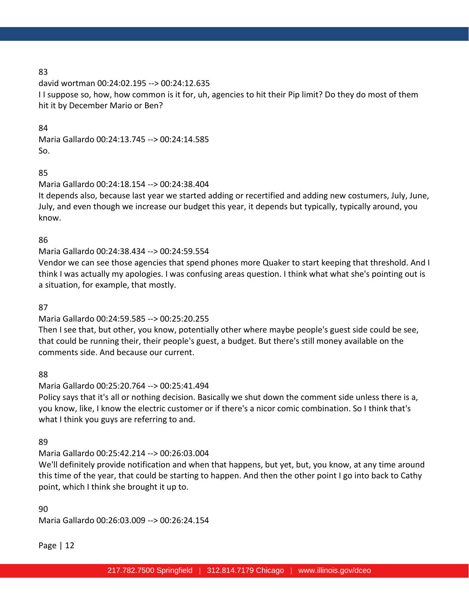david wortman 00:24:02.195 --> 00:24:12.635 I I suppose so, how, how common is it for, uh, agencies to hit their Pip limit? Do they do most of them hit it by December Mario or Ben?

### 84

Maria Gallardo 00:24:13.745 --> 00:24:14.585 So.

# 85

Maria Gallardo 00:24:18.154 --> 00:24:38.404

It depends also, because last year we started adding or recertified and adding new costumers, July, June, July, and even though we increase our budget this year, it depends but typically, typically around, you know.

# 86

Maria Gallardo 00:24:38.434 --> 00:24:59.554

Vendor we can see those agencies that spend phones more Quaker to start keeping that threshold. And I think I was actually my apologies. I was confusing areas question. I think what what she's pointing out is a situation, for example, that mostly.

# 87

Maria Gallardo 00:24:59.585 --> 00:25:20.255

Then I see that, but other, you know, potentially other where maybe people's guest side could be see, that could be running their, their people's guest, a budget. But there's still money available on the comments side. And because our current.

88

Maria Gallardo 00:25:20.764 --> 00:25:41.494

Policy says that it's all or nothing decision. Basically we shut down the comment side unless there is a, you know, like, I know the electric customer or if there's a nicor comic combination. So I think that's what I think you guys are referring to and.

# 89

Maria Gallardo 00:25:42.214 --> 00:26:03.004

We'll definitely provide notification and when that happens, but yet, but, you know, at any time around this time of the year, that could be starting to happen. And then the other point I go into back to Cathy point, which I think she brought it up to.

90 Maria Gallardo 00:26:03.009 --> 00:26:24.154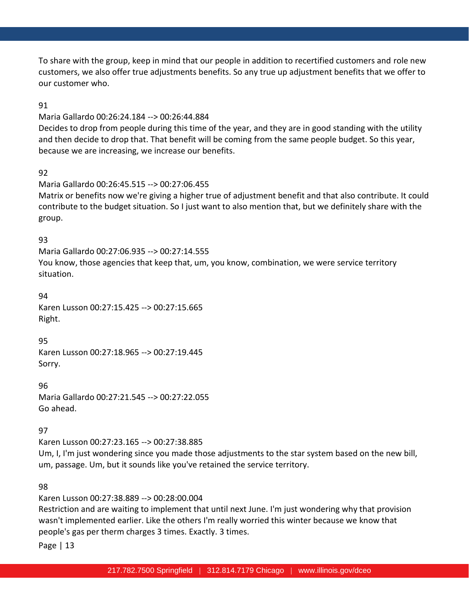To share with the group, keep in mind that our people in addition to recertified customers and role new customers, we also offer true adjustments benefits. So any true up adjustment benefits that we offer to our customer who.

### 91

#### Maria Gallardo 00:26:24.184 --> 00:26:44.884

Decides to drop from people during this time of the year, and they are in good standing with the utility and then decide to drop that. That benefit will be coming from the same people budget. So this year, because we are increasing, we increase our benefits.

### 92

### Maria Gallardo 00:26:45.515 --> 00:27:06.455

Matrix or benefits now we're giving a higher true of adjustment benefit and that also contribute. It could contribute to the budget situation. So I just want to also mention that, but we definitely share with the group.

### 93

Maria Gallardo 00:27:06.935 --> 00:27:14.555 You know, those agencies that keep that, um, you know, combination, we were service territory situation.

### 94

Karen Lusson 00:27:15.425 --> 00:27:15.665 Right.

### 95

Karen Lusson 00:27:18.965 --> 00:27:19.445 Sorry.

### 96

Maria Gallardo 00:27:21.545 --> 00:27:22.055 Go ahead.

# 97

Karen Lusson 00:27:23.165 --> 00:27:38.885 Um, I, I'm just wondering since you made those adjustments to the star system based on the new bill, um, passage. Um, but it sounds like you've retained the service territory.

### 98

Karen Lusson 00:27:38.889 --> 00:28:00.004

Restriction and are waiting to implement that until next June. I'm just wondering why that provision wasn't implemented earlier. Like the others I'm really worried this winter because we know that people's gas per therm charges 3 times. Exactly. 3 times.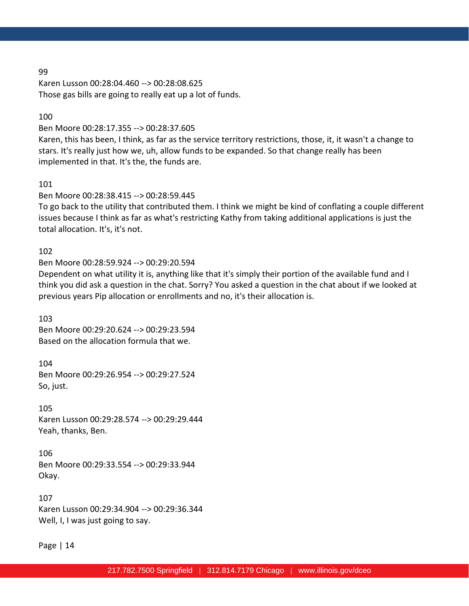Karen Lusson 00:28:04.460 --> 00:28:08.625 Those gas bills are going to really eat up a lot of funds.

#### 100

#### Ben Moore 00:28:17.355 --> 00:28:37.605

Karen, this has been, I think, as far as the service territory restrictions, those, it, it wasn't a change to stars. It's really just how we, uh, allow funds to be expanded. So that change really has been implemented in that. It's the, the funds are.

#### 101

### Ben Moore 00:28:38.415 --> 00:28:59.445

To go back to the utility that contributed them. I think we might be kind of conflating a couple different issues because I think as far as what's restricting Kathy from taking additional applications is just the total allocation. It's, it's not.

#### 102

#### Ben Moore 00:28:59.924 --> 00:29:20.594

Dependent on what utility it is, anything like that it's simply their portion of the available fund and I think you did ask a question in the chat. Sorry? You asked a question in the chat about if we looked at previous years Pip allocation or enrollments and no, it's their allocation is.

103 Ben Moore 00:29:20.624 --> 00:29:23.594 Based on the allocation formula that we.

104 Ben Moore 00:29:26.954 --> 00:29:27.524 So, just.

105 Karen Lusson 00:29:28.574 --> 00:29:29.444 Yeah, thanks, Ben.

106 Ben Moore 00:29:33.554 --> 00:29:33.944 Okay.

107 Karen Lusson 00:29:34.904 --> 00:29:36.344 Well, I, I was just going to say.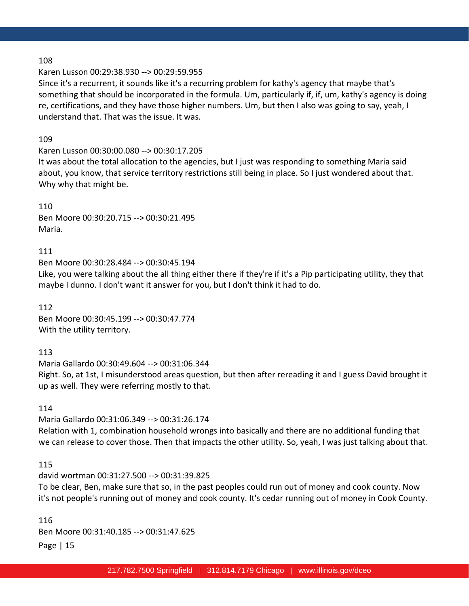#### Karen Lusson 00:29:38.930 --> 00:29:59.955

Since it's a recurrent, it sounds like it's a recurring problem for kathy's agency that maybe that's something that should be incorporated in the formula. Um, particularly if, if, um, kathy's agency is doing re, certifications, and they have those higher numbers. Um, but then I also was going to say, yeah, I understand that. That was the issue. It was.

#### 109

### Karen Lusson 00:30:00.080 --> 00:30:17.205

It was about the total allocation to the agencies, but I just was responding to something Maria said about, you know, that service territory restrictions still being in place. So I just wondered about that. Why why that might be.

#### 110

Ben Moore 00:30:20.715 --> 00:30:21.495 Maria.

#### 111

Ben Moore 00:30:28.484 --> 00:30:45.194

Like, you were talking about the all thing either there if they're if it's a Pip participating utility, they that maybe I dunno. I don't want it answer for you, but I don't think it had to do.

112 Ben Moore 00:30:45.199 --> 00:30:47.774 With the utility territory.

### 113

Maria Gallardo 00:30:49.604 --> 00:31:06.344 Right. So, at 1st, I misunderstood areas question, but then after rereading it and I guess David brought it up as well. They were referring mostly to that.

### 114

Maria Gallardo 00:31:06.349 --> 00:31:26.174 Relation with 1, combination household wrongs into basically and there are no additional funding that we can release to cover those. Then that impacts the other utility. So, yeah, I was just talking about that.

### 115

david wortman 00:31:27.500 --> 00:31:39.825 To be clear, Ben, make sure that so, in the past peoples could run out of money and cook county. Now it's not people's running out of money and cook county. It's cedar running out of money in Cook County.

Page | 15 116 Ben Moore 00:31:40.185 --> 00:31:47.625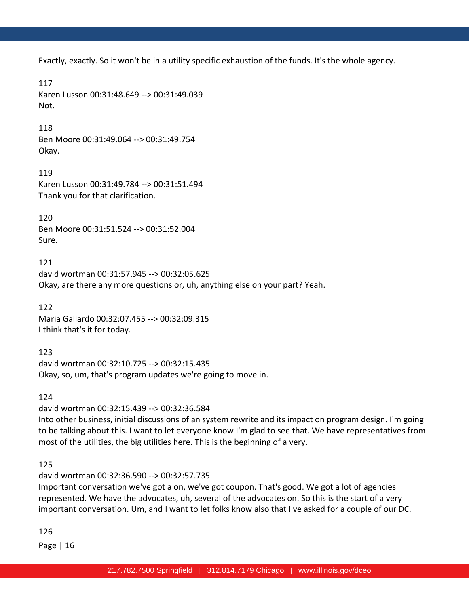Exactly, exactly. So it won't be in a utility specific exhaustion of the funds. It's the whole agency.

### 117

Karen Lusson 00:31:48.649 --> 00:31:49.039 Not.

# 118

Ben Moore 00:31:49.064 --> 00:31:49.754 Okay.

119 Karen Lusson 00:31:49.784 --> 00:31:51.494 Thank you for that clarification.

120 Ben Moore 00:31:51.524 --> 00:31:52.004 Sure.

121 david wortman 00:31:57.945 --> 00:32:05.625 Okay, are there any more questions or, uh, anything else on your part? Yeah.

122 Maria Gallardo 00:32:07.455 --> 00:32:09.315 I think that's it for today.

### 123

david wortman 00:32:10.725 --> 00:32:15.435 Okay, so, um, that's program updates we're going to move in.

# 124

david wortman 00:32:15.439 --> 00:32:36.584 Into other business, initial discussions of an system rewrite and its impact on program design. I'm going to be talking about this. I want to let everyone know I'm glad to see that. We have representatives from most of the utilities, the big utilities here. This is the beginning of a very.

# 125

david wortman 00:32:36.590 --> 00:32:57.735 Important conversation we've got a on, we've got coupon. That's good. We got a lot of agencies represented. We have the advocates, uh, several of the advocates on. So this is the start of a very important conversation. Um, and I want to let folks know also that I've asked for a couple of our DC.

# 126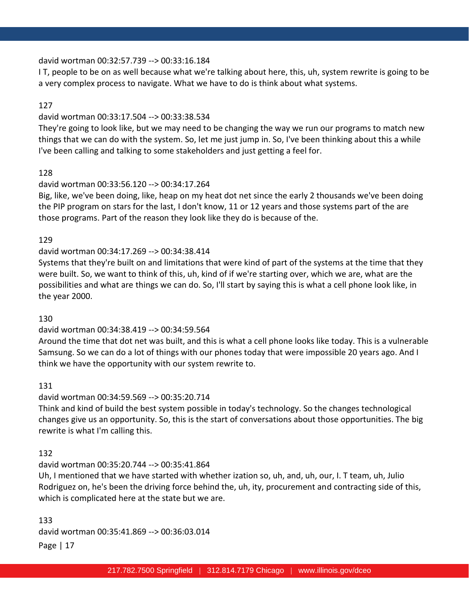#### david wortman 00:32:57.739 --> 00:33:16.184

I T, people to be on as well because what we're talking about here, this, uh, system rewrite is going to be a very complex process to navigate. What we have to do is think about what systems.

### 127

#### david wortman 00:33:17.504 --> 00:33:38.534

They're going to look like, but we may need to be changing the way we run our programs to match new things that we can do with the system. So, let me just jump in. So, I've been thinking about this a while I've been calling and talking to some stakeholders and just getting a feel for.

### 128

#### david wortman 00:33:56.120 --> 00:34:17.264

Big, like, we've been doing, like, heap on my heat dot net since the early 2 thousands we've been doing the PIP program on stars for the last, I don't know, 11 or 12 years and those systems part of the are those programs. Part of the reason they look like they do is because of the.

#### 129

### david wortman 00:34:17.269 --> 00:34:38.414

Systems that they're built on and limitations that were kind of part of the systems at the time that they were built. So, we want to think of this, uh, kind of if we're starting over, which we are, what are the possibilities and what are things we can do. So, I'll start by saying this is what a cell phone look like, in the year 2000.

#### 130

### david wortman 00:34:38.419 --> 00:34:59.564

Around the time that dot net was built, and this is what a cell phone looks like today. This is a vulnerable Samsung. So we can do a lot of things with our phones today that were impossible 20 years ago. And I think we have the opportunity with our system rewrite to.

### 131

### david wortman 00:34:59.569 --> 00:35:20.714

Think and kind of build the best system possible in today's technology. So the changes technological changes give us an opportunity. So, this is the start of conversations about those opportunities. The big rewrite is what I'm calling this.

### 132

### david wortman 00:35:20.744 --> 00:35:41.864

Uh, I mentioned that we have started with whether ization so, uh, and, uh, our, I. T team, uh, Julio Rodriguez on, he's been the driving force behind the, uh, ity, procurement and contracting side of this, which is complicated here at the state but we are.

Page | 17 133 david wortman 00:35:41.869 --> 00:36:03.014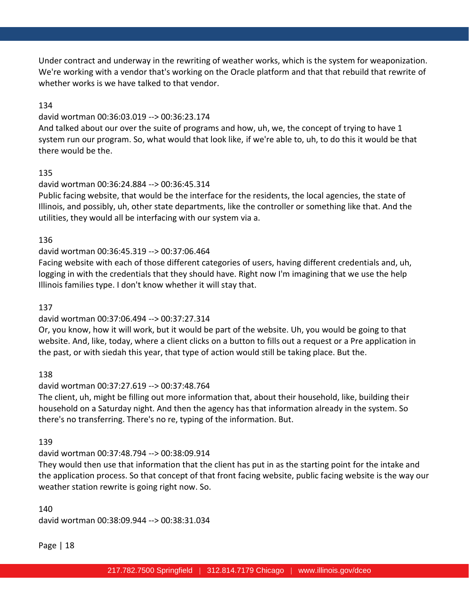Under contract and underway in the rewriting of weather works, which is the system for weaponization. We're working with a vendor that's working on the Oracle platform and that that rebuild that rewrite of whether works is we have talked to that vendor.

### 134

### david wortman 00:36:03.019 --> 00:36:23.174

And talked about our over the suite of programs and how, uh, we, the concept of trying to have 1 system run our program. So, what would that look like, if we're able to, uh, to do this it would be that there would be the.

### 135

### david wortman 00:36:24.884 --> 00:36:45.314

Public facing website, that would be the interface for the residents, the local agencies, the state of Illinois, and possibly, uh, other state departments, like the controller or something like that. And the utilities, they would all be interfacing with our system via a.

### 136

### david wortman 00:36:45.319 --> 00:37:06.464

Facing website with each of those different categories of users, having different credentials and, uh, logging in with the credentials that they should have. Right now I'm imagining that we use the help Illinois families type. I don't know whether it will stay that.

### 137

# david wortman 00:37:06.494 --> 00:37:27.314

Or, you know, how it will work, but it would be part of the website. Uh, you would be going to that website. And, like, today, where a client clicks on a button to fills out a request or a Pre application in the past, or with siedah this year, that type of action would still be taking place. But the.

138

# david wortman 00:37:27.619 --> 00:37:48.764

The client, uh, might be filling out more information that, about their household, like, building their household on a Saturday night. And then the agency has that information already in the system. So there's no transferring. There's no re, typing of the information. But.

### 139

# david wortman 00:37:48.794 --> 00:38:09.914

They would then use that information that the client has put in as the starting point for the intake and the application process. So that concept of that front facing website, public facing website is the way our weather station rewrite is going right now. So.

### 140 david wortman 00:38:09.944 --> 00:38:31.034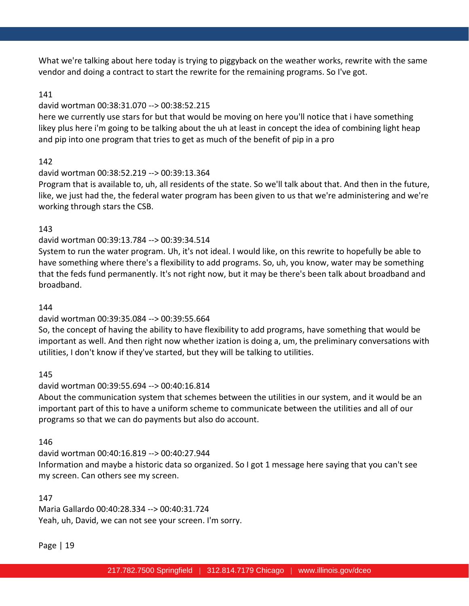What we're talking about here today is trying to piggyback on the weather works, rewrite with the same vendor and doing a contract to start the rewrite for the remaining programs. So I've got.

#### 141

#### david wortman 00:38:31.070 --> 00:38:52.215

here we currently use stars for but that would be moving on here you'll notice that i have something likey plus here i'm going to be talking about the uh at least in concept the idea of combining light heap and pip into one program that tries to get as much of the benefit of pip in a pro

### 142

### david wortman 00:38:52.219 --> 00:39:13.364

Program that is available to, uh, all residents of the state. So we'll talk about that. And then in the future, like, we just had the, the federal water program has been given to us that we're administering and we're working through stars the CSB.

### 143

### david wortman 00:39:13.784 --> 00:39:34.514

System to run the water program. Uh, it's not ideal. I would like, on this rewrite to hopefully be able to have something where there's a flexibility to add programs. So, uh, you know, water may be something that the feds fund permanently. It's not right now, but it may be there's been talk about broadband and broadband.

#### 144

### david wortman 00:39:35.084 --> 00:39:55.664

So, the concept of having the ability to have flexibility to add programs, have something that would be important as well. And then right now whether ization is doing a, um, the preliminary conversations with utilities, I don't know if they've started, but they will be talking to utilities.

### 145

#### david wortman 00:39:55.694 --> 00:40:16.814

About the communication system that schemes between the utilities in our system, and it would be an important part of this to have a uniform scheme to communicate between the utilities and all of our programs so that we can do payments but also do account.

#### 146

david wortman 00:40:16.819 --> 00:40:27.944 Information and maybe a historic data so organized. So I got 1 message here saying that you can't see my screen. Can others see my screen.

### 147

Maria Gallardo 00:40:28.334 --> 00:40:31.724 Yeah, uh, David, we can not see your screen. I'm sorry.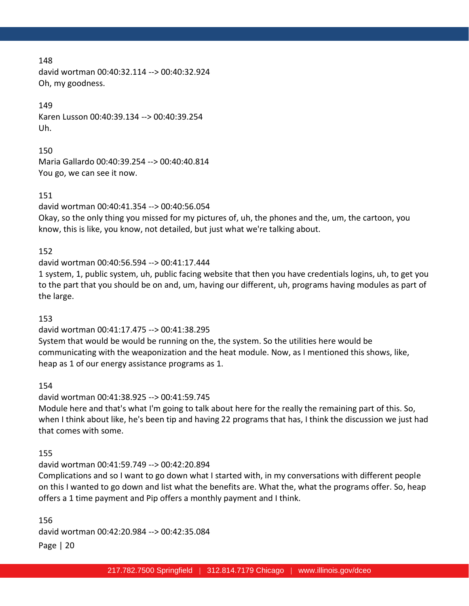david wortman 00:40:32.114 --> 00:40:32.924 Oh, my goodness.

### 149

Karen Lusson 00:40:39.134 --> 00:40:39.254 Uh.

150

Maria Gallardo 00:40:39.254 --> 00:40:40.814 You go, we can see it now.

#### 151

david wortman 00:40:41.354 --> 00:40:56.054

Okay, so the only thing you missed for my pictures of, uh, the phones and the, um, the cartoon, you know, this is like, you know, not detailed, but just what we're talking about.

### 152

david wortman 00:40:56.594 --> 00:41:17.444

1 system, 1, public system, uh, public facing website that then you have credentials logins, uh, to get you to the part that you should be on and, um, having our different, uh, programs having modules as part of the large.

### 153

david wortman 00:41:17.475 --> 00:41:38.295

System that would be would be running on the, the system. So the utilities here would be communicating with the weaponization and the heat module. Now, as I mentioned this shows, like, heap as 1 of our energy assistance programs as 1.

### 154

david wortman 00:41:38.925 --> 00:41:59.745 Module here and that's what I'm going to talk about here for the really the remaining part of this. So, when I think about like, he's been tip and having 22 programs that has, I think the discussion we just had that comes with some.

### 155

david wortman 00:41:59.749 --> 00:42:20.894

Complications and so I want to go down what I started with, in my conversations with different people on this I wanted to go down and list what the benefits are. What the, what the programs offer. So, heap offers a 1 time payment and Pip offers a monthly payment and I think.

Page | 20 156 david wortman 00:42:20.984 --> 00:42:35.084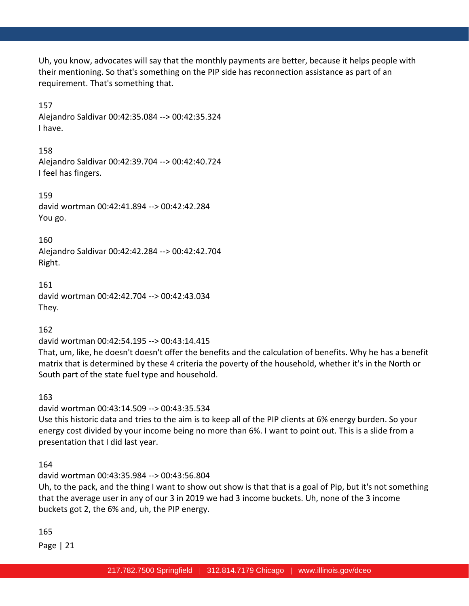Uh, you know, advocates will say that the monthly payments are better, because it helps people with their mentioning. So that's something on the PIP side has reconnection assistance as part of an requirement. That's something that.

157 Alejandro Saldivar 00:42:35.084 --> 00:42:35.324 I have.

158 Alejandro Saldivar 00:42:39.704 --> 00:42:40.724 I feel has fingers.

159 david wortman 00:42:41.894 --> 00:42:42.284 You go.

160 Alejandro Saldivar 00:42:42.284 --> 00:42:42.704 Right.

161 david wortman 00:42:42.704 --> 00:42:43.034 They.

162

david wortman 00:42:54.195 --> 00:43:14.415

That, um, like, he doesn't doesn't offer the benefits and the calculation of benefits. Why he has a benefit matrix that is determined by these 4 criteria the poverty of the household, whether it's in the North or South part of the state fuel type and household.

163

david wortman 00:43:14.509 --> 00:43:35.534

Use this historic data and tries to the aim is to keep all of the PIP clients at 6% energy burden. So your energy cost divided by your income being no more than 6%. I want to point out. This is a slide from a presentation that I did last year.

164

david wortman 00:43:35.984 --> 00:43:56.804

Uh, to the pack, and the thing I want to show out show is that that is a goal of Pip, but it's not something that the average user in any of our 3 in 2019 we had 3 income buckets. Uh, none of the 3 income buckets got 2, the 6% and, uh, the PIP energy.

165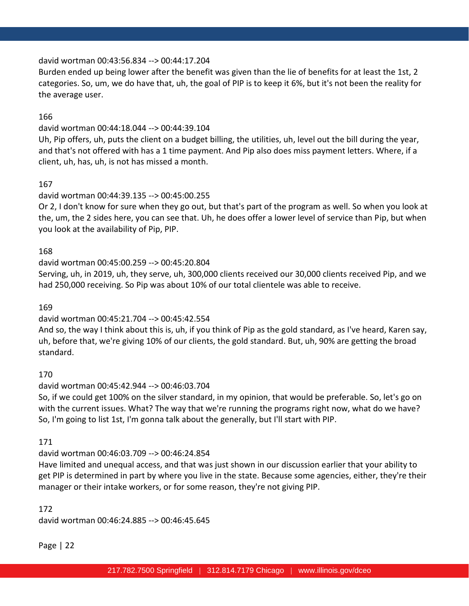### david wortman 00:43:56.834 --> 00:44:17.204

Burden ended up being lower after the benefit was given than the lie of benefits for at least the 1st, 2 categories. So, um, we do have that, uh, the goal of PIP is to keep it 6%, but it's not been the reality for the average user.

### 166

### david wortman 00:44:18.044 --> 00:44:39.104

Uh, Pip offers, uh, puts the client on a budget billing, the utilities, uh, level out the bill during the year, and that's not offered with has a 1 time payment. And Pip also does miss payment letters. Where, if a client, uh, has, uh, is not has missed a month.

### 167

# david wortman 00:44:39.135 --> 00:45:00.255

Or 2, I don't know for sure when they go out, but that's part of the program as well. So when you look at the, um, the 2 sides here, you can see that. Uh, he does offer a lower level of service than Pip, but when you look at the availability of Pip, PIP.

### 168

### david wortman 00:45:00.259 --> 00:45:20.804

Serving, uh, in 2019, uh, they serve, uh, 300,000 clients received our 30,000 clients received Pip, and we had 250,000 receiving. So Pip was about 10% of our total clientele was able to receive.

### 169

# david wortman 00:45:21.704 --> 00:45:42.554

And so, the way I think about this is, uh, if you think of Pip as the gold standard, as I've heard, Karen say, uh, before that, we're giving 10% of our clients, the gold standard. But, uh, 90% are getting the broad standard.

# 170

# david wortman 00:45:42.944 --> 00:46:03.704

So, if we could get 100% on the silver standard, in my opinion, that would be preferable. So, let's go on with the current issues. What? The way that we're running the programs right now, what do we have? So, I'm going to list 1st, I'm gonna talk about the generally, but I'll start with PIP.

### 171

# david wortman 00:46:03.709 --> 00:46:24.854

Have limited and unequal access, and that was just shown in our discussion earlier that your ability to get PIP is determined in part by where you live in the state. Because some agencies, either, they're their manager or their intake workers, or for some reason, they're not giving PIP.

### 172

david wortman 00:46:24.885 --> 00:46:45.645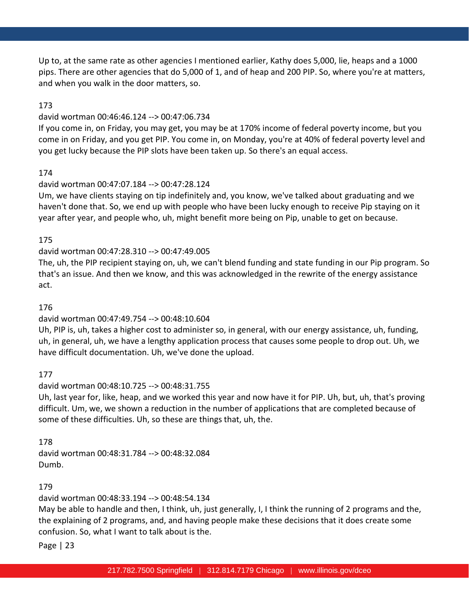Up to, at the same rate as other agencies I mentioned earlier, Kathy does 5,000, lie, heaps and a 1000 pips. There are other agencies that do 5,000 of 1, and of heap and 200 PIP. So, where you're at matters, and when you walk in the door matters, so.

### 173

### david wortman 00:46:46.124 --> 00:47:06.734

If you come in, on Friday, you may get, you may be at 170% income of federal poverty income, but you come in on Friday, and you get PIP. You come in, on Monday, you're at 40% of federal poverty level and you get lucky because the PIP slots have been taken up. So there's an equal access.

### 174

### david wortman 00:47:07.184 --> 00:47:28.124

Um, we have clients staying on tip indefinitely and, you know, we've talked about graduating and we haven't done that. So, we end up with people who have been lucky enough to receive Pip staying on it year after year, and people who, uh, might benefit more being on Pip, unable to get on because.

### 175

### david wortman 00:47:28.310 --> 00:47:49.005

The, uh, the PIP recipient staying on, uh, we can't blend funding and state funding in our Pip program. So that's an issue. And then we know, and this was acknowledged in the rewrite of the energy assistance act.

### 176

# david wortman 00:47:49.754 --> 00:48:10.604

Uh, PIP is, uh, takes a higher cost to administer so, in general, with our energy assistance, uh, funding, uh, in general, uh, we have a lengthy application process that causes some people to drop out. Uh, we have difficult documentation. Uh, we've done the upload.

### 177

### david wortman 00:48:10.725 --> 00:48:31.755

Uh, last year for, like, heap, and we worked this year and now have it for PIP. Uh, but, uh, that's proving difficult. Um, we, we shown a reduction in the number of applications that are completed because of some of these difficulties. Uh, so these are things that, uh, the.

### 178

david wortman 00:48:31.784 --> 00:48:32.084 Dumb.

# 179

david wortman 00:48:33.194 --> 00:48:54.134

May be able to handle and then, I think, uh, just generally, I, I think the running of 2 programs and the, the explaining of 2 programs, and, and having people make these decisions that it does create some confusion. So, what I want to talk about is the.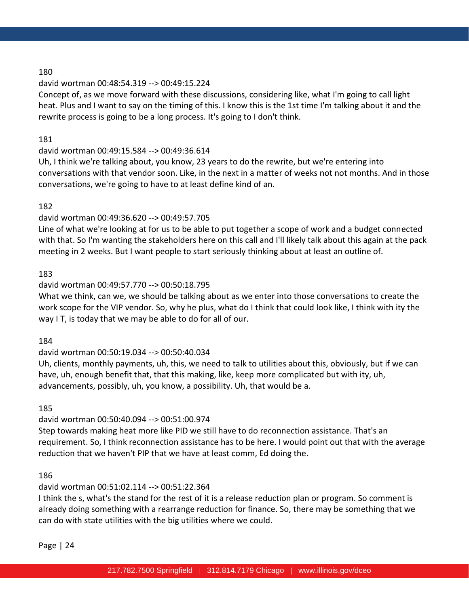### david wortman 00:48:54.319 --> 00:49:15.224

Concept of, as we move forward with these discussions, considering like, what I'm going to call light heat. Plus and I want to say on the timing of this. I know this is the 1st time I'm talking about it and the rewrite process is going to be a long process. It's going to I don't think.

### 181

### david wortman 00:49:15.584 --> 00:49:36.614

Uh, I think we're talking about, you know, 23 years to do the rewrite, but we're entering into conversations with that vendor soon. Like, in the next in a matter of weeks not not months. And in those conversations, we're going to have to at least define kind of an.

### 182

# david wortman 00:49:36.620 --> 00:49:57.705

Line of what we're looking at for us to be able to put together a scope of work and a budget connected with that. So I'm wanting the stakeholders here on this call and I'll likely talk about this again at the pack meeting in 2 weeks. But I want people to start seriously thinking about at least an outline of.

### 183

### david wortman 00:49:57.770 --> 00:50:18.795

What we think, can we, we should be talking about as we enter into those conversations to create the work scope for the VIP vendor. So, why he plus, what do I think that could look like, I think with ity the way I T, is today that we may be able to do for all of our.

### 184

# david wortman 00:50:19.034 --> 00:50:40.034

Uh, clients, monthly payments, uh, this, we need to talk to utilities about this, obviously, but if we can have, uh, enough benefit that, that this making, like, keep more complicated but with ity, uh, advancements, possibly, uh, you know, a possibility. Uh, that would be a.

### 185

# david wortman 00:50:40.094 --> 00:51:00.974

Step towards making heat more like PID we still have to do reconnection assistance. That's an requirement. So, I think reconnection assistance has to be here. I would point out that with the average reduction that we haven't PIP that we have at least comm, Ed doing the.

### 186

# david wortman 00:51:02.114 --> 00:51:22.364

I think the s, what's the stand for the rest of it is a release reduction plan or program. So comment is already doing something with a rearrange reduction for finance. So, there may be something that we can do with state utilities with the big utilities where we could.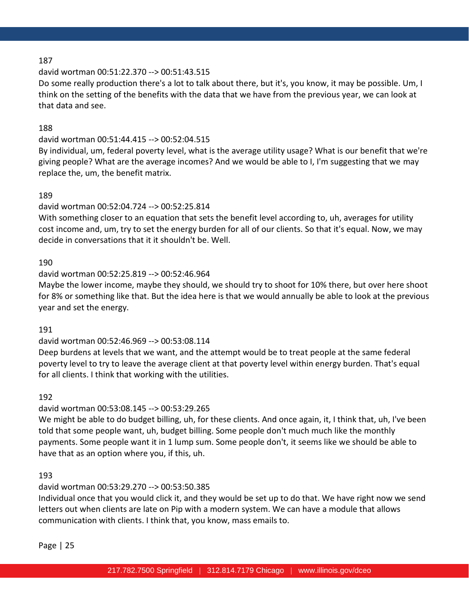### david wortman 00:51:22.370 --> 00:51:43.515

Do some really production there's a lot to talk about there, but it's, you know, it may be possible. Um, I think on the setting of the benefits with the data that we have from the previous year, we can look at that data and see.

### 188

### david wortman 00:51:44.415 --> 00:52:04.515

By individual, um, federal poverty level, what is the average utility usage? What is our benefit that we're giving people? What are the average incomes? And we would be able to I, I'm suggesting that we may replace the, um, the benefit matrix.

### 189

### david wortman 00:52:04.724 --> 00:52:25.814

With something closer to an equation that sets the benefit level according to, uh, averages for utility cost income and, um, try to set the energy burden for all of our clients. So that it's equal. Now, we may decide in conversations that it it shouldn't be. Well.

### 190

### david wortman 00:52:25.819 --> 00:52:46.964

Maybe the lower income, maybe they should, we should try to shoot for 10% there, but over here shoot for 8% or something like that. But the idea here is that we would annually be able to look at the previous year and set the energy.

### 191

### david wortman 00:52:46.969 --> 00:53:08.114

Deep burdens at levels that we want, and the attempt would be to treat people at the same federal poverty level to try to leave the average client at that poverty level within energy burden. That's equal for all clients. I think that working with the utilities.

### 192

# david wortman 00:53:08.145 --> 00:53:29.265

We might be able to do budget billing, uh, for these clients. And once again, it, I think that, uh, I've been told that some people want, uh, budget billing. Some people don't much much like the monthly payments. Some people want it in 1 lump sum. Some people don't, it seems like we should be able to have that as an option where you, if this, uh.

### 193

# david wortman 00:53:29.270 --> 00:53:50.385

Individual once that you would click it, and they would be set up to do that. We have right now we send letters out when clients are late on Pip with a modern system. We can have a module that allows communication with clients. I think that, you know, mass emails to.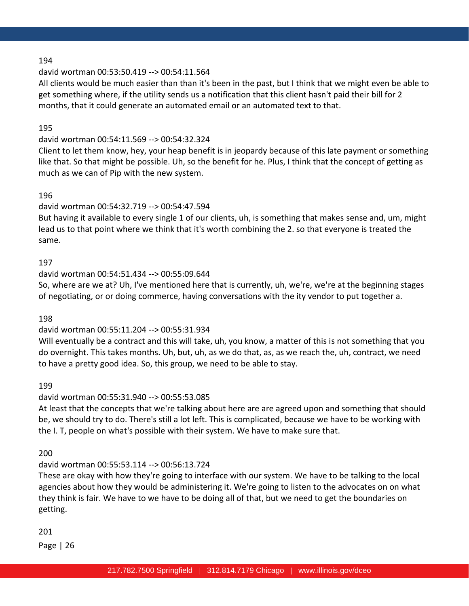### david wortman 00:53:50.419 --> 00:54:11.564

All clients would be much easier than than it's been in the past, but I think that we might even be able to get something where, if the utility sends us a notification that this client hasn't paid their bill for 2 months, that it could generate an automated email or an automated text to that.

### 195

### david wortman 00:54:11.569 --> 00:54:32.324

Client to let them know, hey, your heap benefit is in jeopardy because of this late payment or something like that. So that might be possible. Uh, so the benefit for he. Plus, I think that the concept of getting as much as we can of Pip with the new system.

### 196

# david wortman 00:54:32.719 --> 00:54:47.594

But having it available to every single 1 of our clients, uh, is something that makes sense and, um, might lead us to that point where we think that it's worth combining the 2. so that everyone is treated the same.

### 197

### david wortman 00:54:51.434 --> 00:55:09.644

So, where are we at? Uh, I've mentioned here that is currently, uh, we're, we're at the beginning stages of negotiating, or or doing commerce, having conversations with the ity vendor to put together a.

### 198

# david wortman 00:55:11.204 --> 00:55:31.934

Will eventually be a contract and this will take, uh, you know, a matter of this is not something that you do overnight. This takes months. Uh, but, uh, as we do that, as, as we reach the, uh, contract, we need to have a pretty good idea. So, this group, we need to be able to stay.

### 199

# david wortman 00:55:31.940 --> 00:55:53.085

At least that the concepts that we're talking about here are are agreed upon and something that should be, we should try to do. There's still a lot left. This is complicated, because we have to be working with the I. T, people on what's possible with their system. We have to make sure that.

200

# david wortman 00:55:53.114 --> 00:56:13.724

These are okay with how they're going to interface with our system. We have to be talking to the local agencies about how they would be administering it. We're going to listen to the advocates on on what they think is fair. We have to we have to be doing all of that, but we need to get the boundaries on getting.

201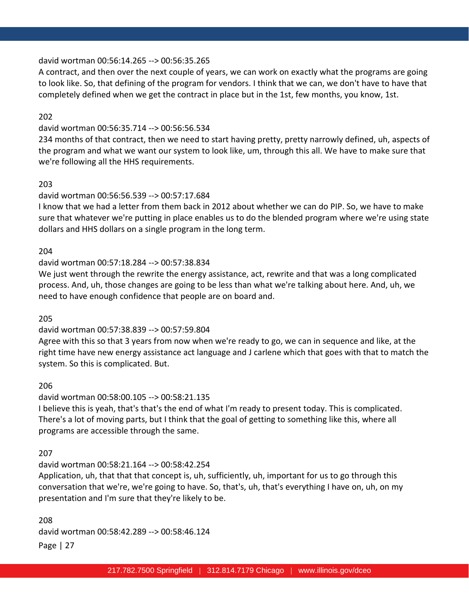### david wortman 00:56:14.265 --> 00:56:35.265

A contract, and then over the next couple of years, we can work on exactly what the programs are going to look like. So, that defining of the program for vendors. I think that we can, we don't have to have that completely defined when we get the contract in place but in the 1st, few months, you know, 1st.

202

### david wortman 00:56:35.714 --> 00:56:56.534

234 months of that contract, then we need to start having pretty, pretty narrowly defined, uh, aspects of the program and what we want our system to look like, um, through this all. We have to make sure that we're following all the HHS requirements.

### 203

# david wortman 00:56:56.539 --> 00:57:17.684

I know that we had a letter from them back in 2012 about whether we can do PIP. So, we have to make sure that whatever we're putting in place enables us to do the blended program where we're using state dollars and HHS dollars on a single program in the long term.

### 204

### david wortman 00:57:18.284 --> 00:57:38.834

We just went through the rewrite the energy assistance, act, rewrite and that was a long complicated process. And, uh, those changes are going to be less than what we're talking about here. And, uh, we need to have enough confidence that people are on board and.

### 205

### david wortman 00:57:38.839 --> 00:57:59.804

Agree with this so that 3 years from now when we're ready to go, we can in sequence and like, at the right time have new energy assistance act language and J carlene which that goes with that to match the system. So this is complicated. But.

### 206

### david wortman 00:58:00.105 --> 00:58:21.135

I believe this is yeah, that's that's the end of what I'm ready to present today. This is complicated. There's a lot of moving parts, but I think that the goal of getting to something like this, where all programs are accessible through the same.

### 207

### david wortman 00:58:21.164 --> 00:58:42.254

Application, uh, that that that concept is, uh, sufficiently, uh, important for us to go through this conversation that we're, we're going to have. So, that's, uh, that's everything I have on, uh, on my presentation and I'm sure that they're likely to be.

Page | 27 208 david wortman 00:58:42.289 --> 00:58:46.124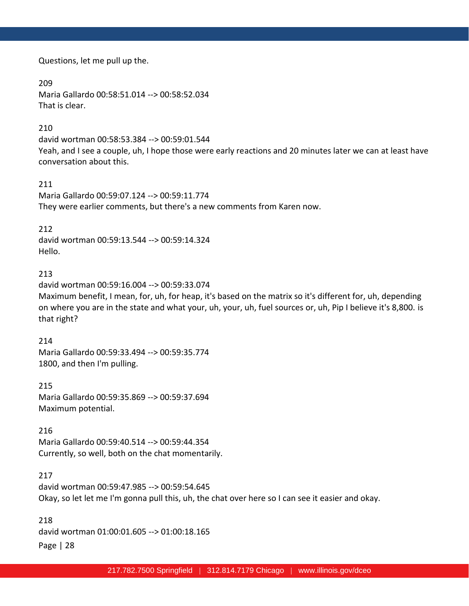Questions, let me pull up the.

209 Maria Gallardo 00:58:51.014 --> 00:58:52.034 That is clear.

### 210

david wortman 00:58:53.384 --> 00:59:01.544 Yeah, and I see a couple, uh, I hope those were early reactions and 20 minutes later we can at least have conversation about this.

### 211

Maria Gallardo 00:59:07.124 --> 00:59:11.774 They were earlier comments, but there's a new comments from Karen now.

### 212

david wortman 00:59:13.544 --> 00:59:14.324 Hello.

# 213

david wortman 00:59:16.004 --> 00:59:33.074 Maximum benefit, I mean, for, uh, for heap, it's based on the matrix so it's different for, uh, depending on where you are in the state and what your, uh, your, uh, fuel sources or, uh, Pip I believe it's 8,800. is that right?

### 214

Maria Gallardo 00:59:33.494 --> 00:59:35.774 1800, and then I'm pulling.

215 Maria Gallardo 00:59:35.869 --> 00:59:37.694 Maximum potential.

### 216

Maria Gallardo 00:59:40.514 --> 00:59:44.354 Currently, so well, both on the chat momentarily.

### 217

david wortman 00:59:47.985 --> 00:59:54.645 Okay, so let let me I'm gonna pull this, uh, the chat over here so I can see it easier and okay.

Page | 28 218 david wortman 01:00:01.605 --> 01:00:18.165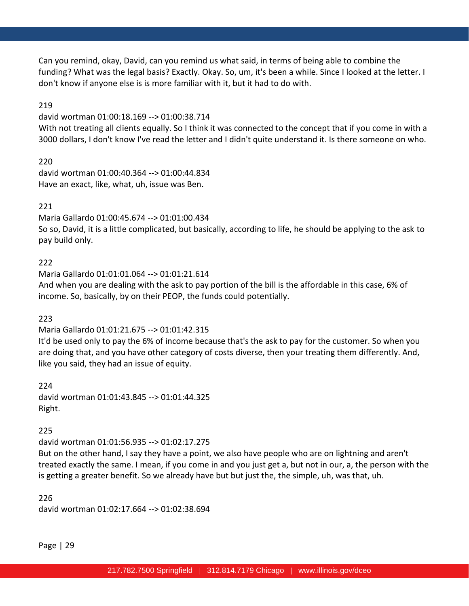Can you remind, okay, David, can you remind us what said, in terms of being able to combine the funding? What was the legal basis? Exactly. Okay. So, um, it's been a while. Since I looked at the letter. I don't know if anyone else is is more familiar with it, but it had to do with.

### 219

david wortman 01:00:18.169 --> 01:00:38.714

With not treating all clients equally. So I think it was connected to the concept that if you come in with a 3000 dollars, I don't know I've read the letter and I didn't quite understand it. Is there someone on who.

220

david wortman 01:00:40.364 --> 01:00:44.834 Have an exact, like, what, uh, issue was Ben.

### 221

Maria Gallardo 01:00:45.674 --> 01:01:00.434 So so, David, it is a little complicated, but basically, according to life, he should be applying to the ask to pay build only.

### 222

Maria Gallardo 01:01:01.064 --> 01:01:21.614 And when you are dealing with the ask to pay portion of the bill is the affordable in this case, 6% of income. So, basically, by on their PEOP, the funds could potentially.

### 223

Maria Gallardo 01:01:21.675 --> 01:01:42.315

It'd be used only to pay the 6% of income because that's the ask to pay for the customer. So when you are doing that, and you have other category of costs diverse, then your treating them differently. And, like you said, they had an issue of equity.

224 david wortman 01:01:43.845 --> 01:01:44.325 Right.

### 225

david wortman 01:01:56.935 --> 01:02:17.275

But on the other hand, I say they have a point, we also have people who are on lightning and aren't treated exactly the same. I mean, if you come in and you just get a, but not in our, a, the person with the is getting a greater benefit. So we already have but but just the, the simple, uh, was that, uh.

226 david wortman 01:02:17.664 --> 01:02:38.694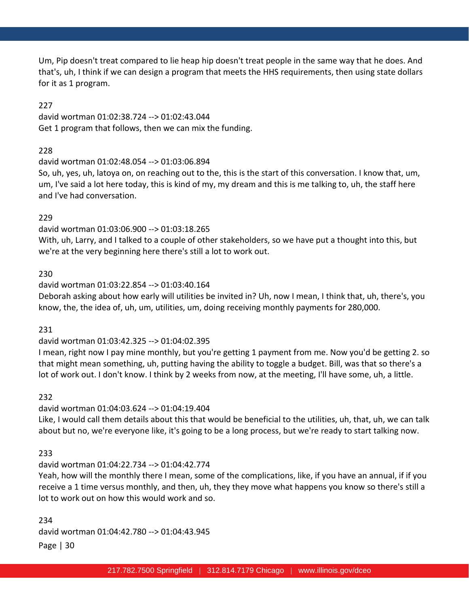Um, Pip doesn't treat compared to lie heap hip doesn't treat people in the same way that he does. And that's, uh, I think if we can design a program that meets the HHS requirements, then using state dollars for it as 1 program.

### 227

david wortman 01:02:38.724 --> 01:02:43.044 Get 1 program that follows, then we can mix the funding.

### 228

### david wortman 01:02:48.054 --> 01:03:06.894

So, uh, yes, uh, latoya on, on reaching out to the, this is the start of this conversation. I know that, um, um, I've said a lot here today, this is kind of my, my dream and this is me talking to, uh, the staff here and I've had conversation.

### 229

david wortman 01:03:06.900 --> 01:03:18.265

With, uh, Larry, and I talked to a couple of other stakeholders, so we have put a thought into this, but we're at the very beginning here there's still a lot to work out.

### 230

### david wortman 01:03:22.854 --> 01:03:40.164

Deborah asking about how early will utilities be invited in? Uh, now I mean, I think that, uh, there's, you know, the, the idea of, uh, um, utilities, um, doing receiving monthly payments for 280,000.

### 231

### david wortman 01:03:42.325 --> 01:04:02.395

I mean, right now I pay mine monthly, but you're getting 1 payment from me. Now you'd be getting 2. so that might mean something, uh, putting having the ability to toggle a budget. Bill, was that so there's a lot of work out. I don't know. I think by 2 weeks from now, at the meeting, I'll have some, uh, a little.

### 232

# david wortman 01:04:03.624 --> 01:04:19.404

Like, I would call them details about this that would be beneficial to the utilities, uh, that, uh, we can talk about but no, we're everyone like, it's going to be a long process, but we're ready to start talking now.

# 233

# david wortman 01:04:22.734 --> 01:04:42.774

Yeah, how will the monthly there I mean, some of the complications, like, if you have an annual, if if you receive a 1 time versus monthly, and then, uh, they they move what happens you know so there's still a lot to work out on how this would work and so.

Page | 30 234 david wortman 01:04:42.780 --> 01:04:43.945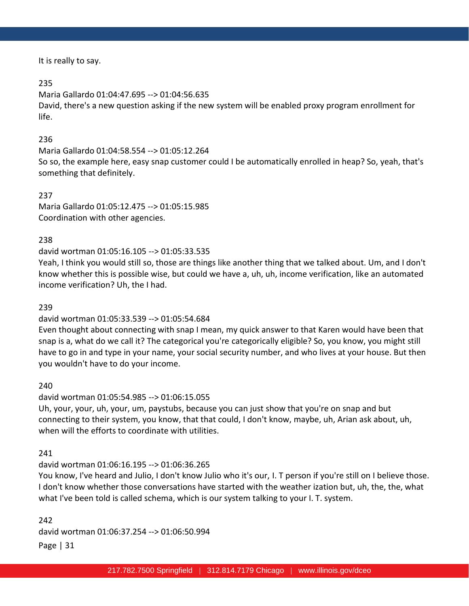It is really to say.

### 235

Maria Gallardo 01:04:47.695 --> 01:04:56.635 David, there's a new question asking if the new system will be enabled proxy program enrollment for life.

# 236

Maria Gallardo 01:04:58.554 --> 01:05:12.264

So so, the example here, easy snap customer could I be automatically enrolled in heap? So, yeah, that's something that definitely.

### 237

Maria Gallardo 01:05:12.475 --> 01:05:15.985 Coordination with other agencies.

### 238

david wortman 01:05:16.105 --> 01:05:33.535

Yeah, I think you would still so, those are things like another thing that we talked about. Um, and I don't know whether this is possible wise, but could we have a, uh, uh, income verification, like an automated income verification? Uh, the I had.

### 239

# david wortman 01:05:33.539 --> 01:05:54.684

Even thought about connecting with snap I mean, my quick answer to that Karen would have been that snap is a, what do we call it? The categorical you're categorically eligible? So, you know, you might still have to go in and type in your name, your social security number, and who lives at your house. But then you wouldn't have to do your income.

### 240

david wortman 01:05:54.985 --> 01:06:15.055

Uh, your, your, uh, your, um, paystubs, because you can just show that you're on snap and but connecting to their system, you know, that that could, I don't know, maybe, uh, Arian ask about, uh, when will the efforts to coordinate with utilities.

### 241

### david wortman 01:06:16.195 --> 01:06:36.265

You know, I've heard and Julio, I don't know Julio who it's our, I. T person if you're still on I believe those. I don't know whether those conversations have started with the weather ization but, uh, the, the, what what I've been told is called schema, which is our system talking to your I. T. system.

Page | 31 242 david wortman 01:06:37.254 --> 01:06:50.994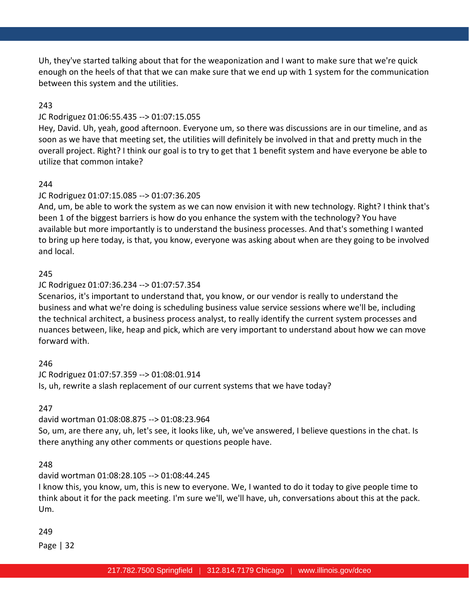Uh, they've started talking about that for the weaponization and I want to make sure that we're quick enough on the heels of that that we can make sure that we end up with 1 system for the communication between this system and the utilities.

### 243

### JC Rodriguez 01:06:55.435 --> 01:07:15.055

Hey, David. Uh, yeah, good afternoon. Everyone um, so there was discussions are in our timeline, and as soon as we have that meeting set, the utilities will definitely be involved in that and pretty much in the overall project. Right? I think our goal is to try to get that 1 benefit system and have everyone be able to utilize that common intake?

### 244

### JC Rodriguez 01:07:15.085 --> 01:07:36.205

And, um, be able to work the system as we can now envision it with new technology. Right? I think that's been 1 of the biggest barriers is how do you enhance the system with the technology? You have available but more importantly is to understand the business processes. And that's something I wanted to bring up here today, is that, you know, everyone was asking about when are they going to be involved and local.

### 245

### JC Rodriguez 01:07:36.234 --> 01:07:57.354

Scenarios, it's important to understand that, you know, or our vendor is really to understand the business and what we're doing is scheduling business value service sessions where we'll be, including the technical architect, a business process analyst, to really identify the current system processes and nuances between, like, heap and pick, which are very important to understand about how we can move forward with.

### 246

JC Rodriguez 01:07:57.359 --> 01:08:01.914 Is, uh, rewrite a slash replacement of our current systems that we have today?

247

david wortman 01:08:08.875 --> 01:08:23.964

So, um, are there any, uh, let's see, it looks like, uh, we've answered, I believe questions in the chat. Is there anything any other comments or questions people have.

### 248

david wortman 01:08:28.105 --> 01:08:44.245

I know this, you know, um, this is new to everyone. We, I wanted to do it today to give people time to think about it for the pack meeting. I'm sure we'll, we'll have, uh, conversations about this at the pack. Um.

249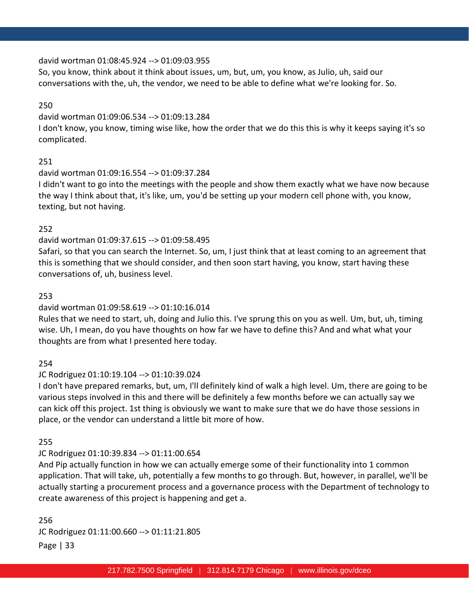### david wortman 01:08:45.924 --> 01:09:03.955

So, you know, think about it think about issues, um, but, um, you know, as Julio, uh, said our conversations with the, uh, the vendor, we need to be able to define what we're looking for. So.

### 250

#### david wortman 01:09:06.534 --> 01:09:13.284

I don't know, you know, timing wise like, how the order that we do this this is why it keeps saying it's so complicated.

### 251

### david wortman 01:09:16.554 --> 01:09:37.284

I didn't want to go into the meetings with the people and show them exactly what we have now because the way I think about that, it's like, um, you'd be setting up your modern cell phone with, you know, texting, but not having.

### 252

### david wortman 01:09:37.615 --> 01:09:58.495

Safari, so that you can search the Internet. So, um, I just think that at least coming to an agreement that this is something that we should consider, and then soon start having, you know, start having these conversations of, uh, business level.

### 253

### david wortman 01:09:58.619 --> 01:10:16.014

Rules that we need to start, uh, doing and Julio this. I've sprung this on you as well. Um, but, uh, timing wise. Uh, I mean, do you have thoughts on how far we have to define this? And and what what your thoughts are from what I presented here today.

### 254

# JC Rodriguez 01:10:19.104 --> 01:10:39.024

I don't have prepared remarks, but, um, I'll definitely kind of walk a high level. Um, there are going to be various steps involved in this and there will be definitely a few months before we can actually say we can kick off this project. 1st thing is obviously we want to make sure that we do have those sessions in place, or the vendor can understand a little bit more of how.

### 255

# JC Rodriguez 01:10:39.834 --> 01:11:00.654

And Pip actually function in how we can actually emerge some of their functionality into 1 common application. That will take, uh, potentially a few months to go through. But, however, in parallel, we'll be actually starting a procurement process and a governance process with the Department of technology to create awareness of this project is happening and get a.

# Page | 33 256 JC Rodriguez 01:11:00.660 --> 01:11:21.805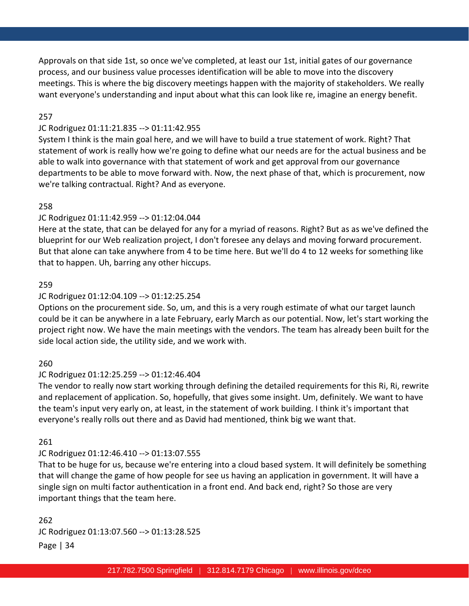Approvals on that side 1st, so once we've completed, at least our 1st, initial gates of our governance process, and our business value processes identification will be able to move into the discovery meetings. This is where the big discovery meetings happen with the majority of stakeholders. We really want everyone's understanding and input about what this can look like re, imagine an energy benefit.

#### 257

#### JC Rodriguez 01:11:21.835 --> 01:11:42.955

System I think is the main goal here, and we will have to build a true statement of work. Right? That statement of work is really how we're going to define what our needs are for the actual business and be able to walk into governance with that statement of work and get approval from our governance departments to be able to move forward with. Now, the next phase of that, which is procurement, now we're talking contractual. Right? And as everyone.

#### 258

#### JC Rodriguez 01:11:42.959 --> 01:12:04.044

Here at the state, that can be delayed for any for a myriad of reasons. Right? But as as we've defined the blueprint for our Web realization project, I don't foresee any delays and moving forward procurement. But that alone can take anywhere from 4 to be time here. But we'll do 4 to 12 weeks for something like that to happen. Uh, barring any other hiccups.

#### 259

#### JC Rodriguez 01:12:04.109 --> 01:12:25.254

Options on the procurement side. So, um, and this is a very rough estimate of what our target launch could be it can be anywhere in a late February, early March as our potential. Now, let's start working the project right now. We have the main meetings with the vendors. The team has already been built for the side local action side, the utility side, and we work with.

#### 260

#### JC Rodriguez 01:12:25.259 --> 01:12:46.404

The vendor to really now start working through defining the detailed requirements for this Ri, Ri, rewrite and replacement of application. So, hopefully, that gives some insight. Um, definitely. We want to have the team's input very early on, at least, in the statement of work building. I think it's important that everyone's really rolls out there and as David had mentioned, think big we want that.

#### 261

#### JC Rodriguez 01:12:46.410 --> 01:13:07.555

That to be huge for us, because we're entering into a cloud based system. It will definitely be something that will change the game of how people for see us having an application in government. It will have a single sign on multi factor authentication in a front end. And back end, right? So those are very important things that the team here.

Page | 34 262 JC Rodriguez 01:13:07.560 --> 01:13:28.525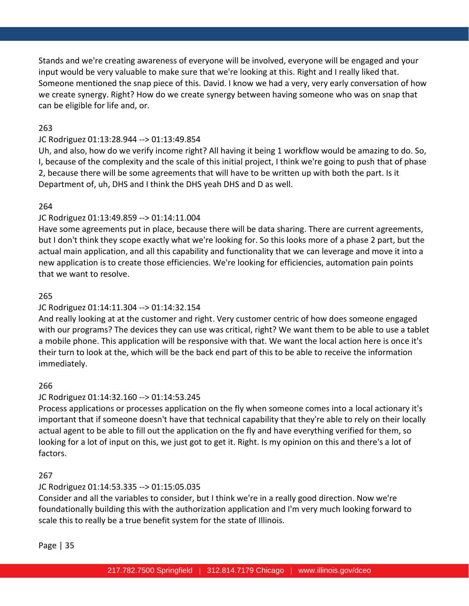Stands and we're creating awareness of everyone will be involved, everyone will be engaged and your input would be very valuable to make sure that we're looking at this. Right and I really liked that. Someone mentioned the snap piece of this. David. I know we had a very, very early conversation of how we create synergy. Right? How do we create synergy between having someone who was on snap that can be eligible for life and, or.

# 263

# JC Rodriguez 01:13:28.944 --> 01:13:49.854

Uh, and also, how do we verify income right? All having it being 1 workflow would be amazing to do. So, I, because of the complexity and the scale of this initial project, I think we're going to push that of phase 2, because there will be some agreements that will have to be written up with both the part. Is it Department of, uh, DHS and I think the DHS yeah DHS and D as well.

# 264

# JC Rodriguez 01:13:49.859 --> 01:14:11.004

Have some agreements put in place, because there will be data sharing. There are current agreements, but I don't think they scope exactly what we're looking for. So this looks more of a phase 2 part, but the actual main application, and all this capability and functionality that we can leverage and move it into a new application is to create those efficiencies. We're looking for efficiencies, automation pain points that we want to resolve.

# 265

# JC Rodriguez 01:14:11.304 --> 01:14:32.154

And really looking at at the customer and right. Very customer centric of how does someone engaged with our programs? The devices they can use was critical, right? We want them to be able to use a tablet a mobile phone. This application will be responsive with that. We want the local action here is once it's their turn to look at the, which will be the back end part of this to be able to receive the information immediately.

# 266

# JC Rodriguez 01:14:32.160 --> 01:14:53.245

Process applications or processes application on the fly when someone comes into a local actionary it's important that if someone doesn't have that technical capability that they're able to rely on their locally actual agent to be able to fill out the application on the fly and have everything verified for them, so looking for a lot of input on this, we just got to get it. Right. Is my opinion on this and there's a lot of factors.

# 267

# JC Rodriguez 01:14:53.335 --> 01:15:05.035

Consider and all the variables to consider, but I think we're in a really good direction. Now we're foundationally building this with the authorization application and I'm very much looking forward to scale this to really be a true benefit system for the state of Illinois.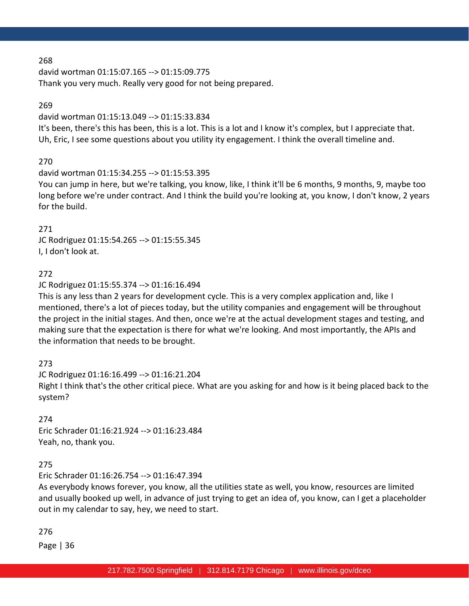david wortman 01:15:07.165 --> 01:15:09.775 Thank you very much. Really very good for not being prepared.

### 269

#### david wortman 01:15:13.049 --> 01:15:33.834

It's been, there's this has been, this is a lot. This is a lot and I know it's complex, but I appreciate that. Uh, Eric, I see some questions about you utility ity engagement. I think the overall timeline and.

# 270

### david wortman 01:15:34.255 --> 01:15:53.395

You can jump in here, but we're talking, you know, like, I think it'll be 6 months, 9 months, 9, maybe too long before we're under contract. And I think the build you're looking at, you know, I don't know, 2 years for the build.

### 271

JC Rodriguez 01:15:54.265 --> 01:15:55.345 I, I don't look at.

# 272

### JC Rodriguez 01:15:55.374 --> 01:16:16.494

This is any less than 2 years for development cycle. This is a very complex application and, like I mentioned, there's a lot of pieces today, but the utility companies and engagement will be throughout the project in the initial stages. And then, once we're at the actual development stages and testing, and making sure that the expectation is there for what we're looking. And most importantly, the APIs and the information that needs to be brought.

# 273

JC Rodriguez 01:16:16.499 --> 01:16:21.204 Right I think that's the other critical piece. What are you asking for and how is it being placed back to the system?

# 274

Eric Schrader 01:16:21.924 --> 01:16:23.484 Yeah, no, thank you.

# 275

Eric Schrader 01:16:26.754 --> 01:16:47.394

As everybody knows forever, you know, all the utilities state as well, you know, resources are limited and usually booked up well, in advance of just trying to get an idea of, you know, can I get a placeholder out in my calendar to say, hey, we need to start.

### 276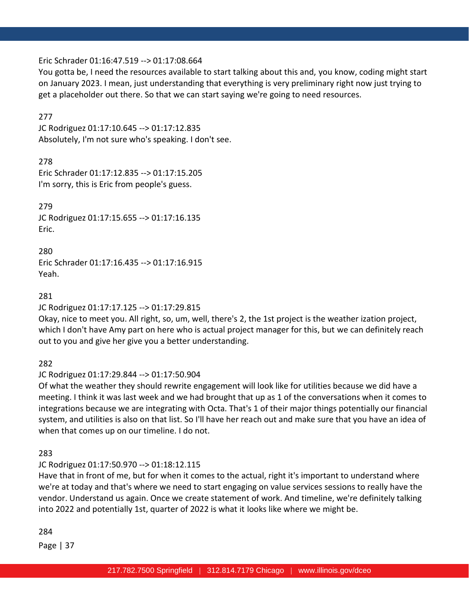### Eric Schrader 01:16:47.519 --> 01:17:08.664

You gotta be, I need the resources available to start talking about this and, you know, coding might start on January 2023. I mean, just understanding that everything is very preliminary right now just trying to get a placeholder out there. So that we can start saying we're going to need resources.

### 277

JC Rodriguez 01:17:10.645 --> 01:17:12.835 Absolutely, I'm not sure who's speaking. I don't see.

278

Eric Schrader 01:17:12.835 --> 01:17:15.205 I'm sorry, this is Eric from people's guess.

279 JC Rodriguez 01:17:15.655 --> 01:17:16.135 Eric.

280 Eric Schrader 01:17:16.435 --> 01:17:16.915 Yeah.

### 281

JC Rodriguez 01:17:17.125 --> 01:17:29.815

Okay, nice to meet you. All right, so, um, well, there's 2, the 1st project is the weather ization project, which I don't have Amy part on here who is actual project manager for this, but we can definitely reach out to you and give her give you a better understanding.

282

JC Rodriguez 01:17:29.844 --> 01:17:50.904

Of what the weather they should rewrite engagement will look like for utilities because we did have a meeting. I think it was last week and we had brought that up as 1 of the conversations when it comes to integrations because we are integrating with Octa. That's 1 of their major things potentially our financial system, and utilities is also on that list. So I'll have her reach out and make sure that you have an idea of when that comes up on our timeline. I do not.

283

# JC Rodriguez 01:17:50.970 --> 01:18:12.115

Have that in front of me, but for when it comes to the actual, right it's important to understand where we're at today and that's where we need to start engaging on value services sessions to really have the vendor. Understand us again. Once we create statement of work. And timeline, we're definitely talking into 2022 and potentially 1st, quarter of 2022 is what it looks like where we might be.

### 284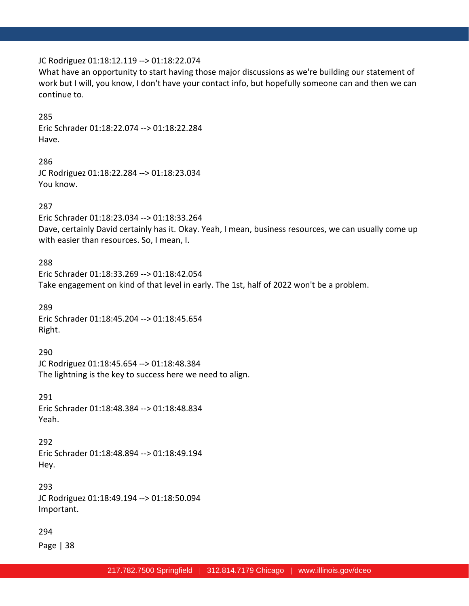#### JC Rodriguez 01:18:12.119 --> 01:18:22.074

What have an opportunity to start having those major discussions as we're building our statement of work but I will, you know, I don't have your contact info, but hopefully someone can and then we can continue to.

#### 285

Eric Schrader 01:18:22.074 --> 01:18:22.284 Have.

286 JC Rodriguez 01:18:22.284 --> 01:18:23.034 You know.

#### 287

Eric Schrader 01:18:23.034 --> 01:18:33.264 Dave, certainly David certainly has it. Okay. Yeah, I mean, business resources, we can usually come up with easier than resources. So, I mean, I.

#### 288

Eric Schrader 01:18:33.269 --> 01:18:42.054 Take engagement on kind of that level in early. The 1st, half of 2022 won't be a problem.

289 Eric Schrader 01:18:45.204 --> 01:18:45.654 Right.

290

JC Rodriguez 01:18:45.654 --> 01:18:48.384 The lightning is the key to success here we need to align.

291 Eric Schrader 01:18:48.384 --> 01:18:48.834 Yeah.

292 Eric Schrader 01:18:48.894 --> 01:18:49.194 Hey.

293 JC Rodriguez 01:18:49.194 --> 01:18:50.094 Important.

294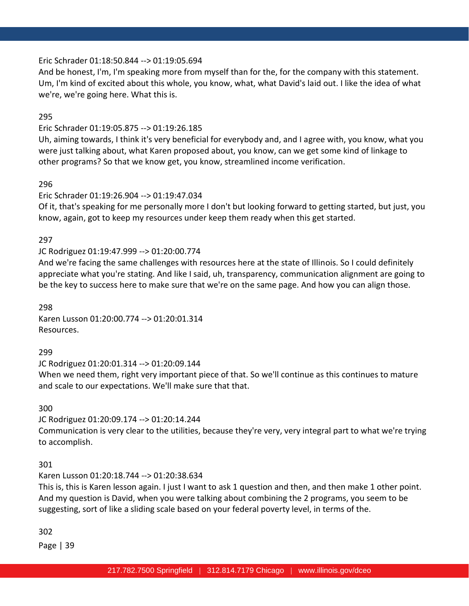### Eric Schrader 01:18:50.844 --> 01:19:05.694

And be honest, I'm, I'm speaking more from myself than for the, for the company with this statement. Um, I'm kind of excited about this whole, you know, what, what David's laid out. I like the idea of what we're, we're going here. What this is.

295

# Eric Schrader 01:19:05.875 --> 01:19:26.185

Uh, aiming towards, I think it's very beneficial for everybody and, and I agree with, you know, what you were just talking about, what Karen proposed about, you know, can we get some kind of linkage to other programs? So that we know get, you know, streamlined income verification.

296

# Eric Schrader 01:19:26.904 --> 01:19:47.034

Of it, that's speaking for me personally more I don't but looking forward to getting started, but just, you know, again, got to keep my resources under keep them ready when this get started.

### 297

# JC Rodriguez 01:19:47.999 --> 01:20:00.774

And we're facing the same challenges with resources here at the state of Illinois. So I could definitely appreciate what you're stating. And like I said, uh, transparency, communication alignment are going to be the key to success here to make sure that we're on the same page. And how you can align those.

298 Karen Lusson 01:20:00.774 --> 01:20:01.314 Resources.

299

JC Rodriguez 01:20:01.314 --> 01:20:09.144

When we need them, right very important piece of that. So we'll continue as this continues to mature and scale to our expectations. We'll make sure that that.

300

JC Rodriguez 01:20:09.174 --> 01:20:14.244

Communication is very clear to the utilities, because they're very, very integral part to what we're trying to accomplish.

301

Karen Lusson 01:20:18.744 --> 01:20:38.634

This is, this is Karen lesson again. I just I want to ask 1 question and then, and then make 1 other point. And my question is David, when you were talking about combining the 2 programs, you seem to be suggesting, sort of like a sliding scale based on your federal poverty level, in terms of the.

302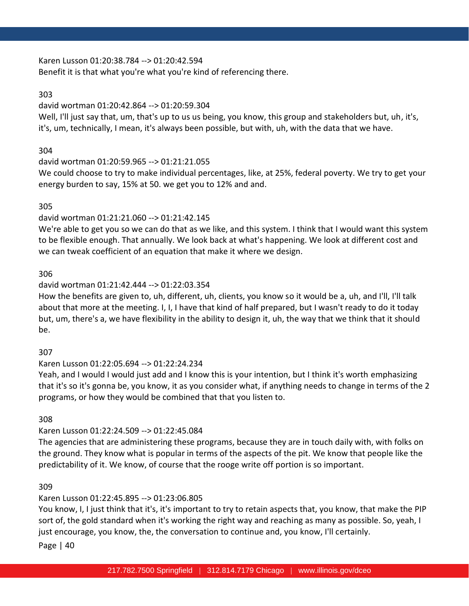Karen Lusson 01:20:38.784 --> 01:20:42.594 Benefit it is that what you're what you're kind of referencing there.

### 303

#### david wortman 01:20:42.864 --> 01:20:59.304

Well, I'll just say that, um, that's up to us us being, you know, this group and stakeholders but, uh, it's, it's, um, technically, I mean, it's always been possible, but with, uh, with the data that we have.

### 304

### david wortman 01:20:59.965 --> 01:21:21.055

We could choose to try to make individual percentages, like, at 25%, federal poverty. We try to get your energy burden to say, 15% at 50. we get you to 12% and and.

### 305

### david wortman 01:21:21.060 --> 01:21:42.145

We're able to get you so we can do that as we like, and this system. I think that I would want this system to be flexible enough. That annually. We look back at what's happening. We look at different cost and we can tweak coefficient of an equation that make it where we design.

### 306

### david wortman 01:21:42.444 --> 01:22:03.354

How the benefits are given to, uh, different, uh, clients, you know so it would be a, uh, and I'll, I'll talk about that more at the meeting. I, I, I have that kind of half prepared, but I wasn't ready to do it today but, um, there's a, we have flexibility in the ability to design it, uh, the way that we think that it should be.

# 307

# Karen Lusson 01:22:05.694 --> 01:22:24.234

Yeah, and I would I would just add and I know this is your intention, but I think it's worth emphasizing that it's so it's gonna be, you know, it as you consider what, if anything needs to change in terms of the 2 programs, or how they would be combined that that you listen to.

### 308

# Karen Lusson 01:22:24.509 --> 01:22:45.084

The agencies that are administering these programs, because they are in touch daily with, with folks on the ground. They know what is popular in terms of the aspects of the pit. We know that people like the predictability of it. We know, of course that the rooge write off portion is so important.

### 309

# Karen Lusson 01:22:45.895 --> 01:23:06.805

You know, I, I just think that it's, it's important to try to retain aspects that, you know, that make the PIP sort of, the gold standard when it's working the right way and reaching as many as possible. So, yeah, I just encourage, you know, the, the conversation to continue and, you know, I'll certainly.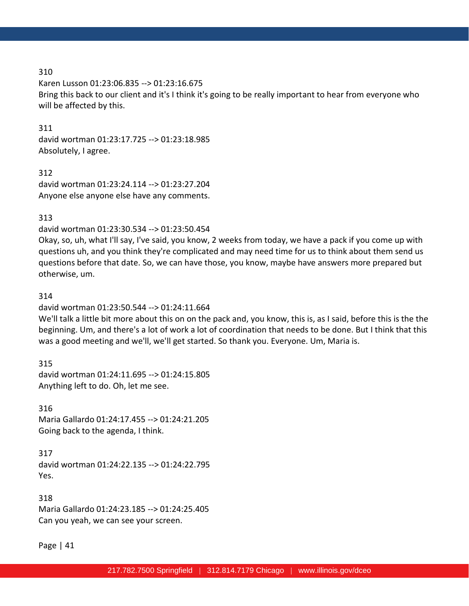Karen Lusson 01:23:06.835 --> 01:23:16.675 Bring this back to our client and it's I think it's going to be really important to hear from everyone who will be affected by this.

311

david wortman 01:23:17.725 --> 01:23:18.985 Absolutely, I agree.

312 david wortman 01:23:24.114 --> 01:23:27.204 Anyone else anyone else have any comments.

### 313

david wortman 01:23:30.534 --> 01:23:50.454

Okay, so, uh, what I'll say, I've said, you know, 2 weeks from today, we have a pack if you come up with questions uh, and you think they're complicated and may need time for us to think about them send us questions before that date. So, we can have those, you know, maybe have answers more prepared but otherwise, um.

### 314

david wortman 01:23:50.544 --> 01:24:11.664

We'll talk a little bit more about this on on the pack and, you know, this is, as I said, before this is the the beginning. Um, and there's a lot of work a lot of coordination that needs to be done. But I think that this was a good meeting and we'll, we'll get started. So thank you. Everyone. Um, Maria is.

315 david wortman 01:24:11.695 --> 01:24:15.805 Anything left to do. Oh, let me see.

316 Maria Gallardo 01:24:17.455 --> 01:24:21.205 Going back to the agenda, I think.

317 david wortman 01:24:22.135 --> 01:24:22.795 Yes.

318 Maria Gallardo 01:24:23.185 --> 01:24:25.405 Can you yeah, we can see your screen.